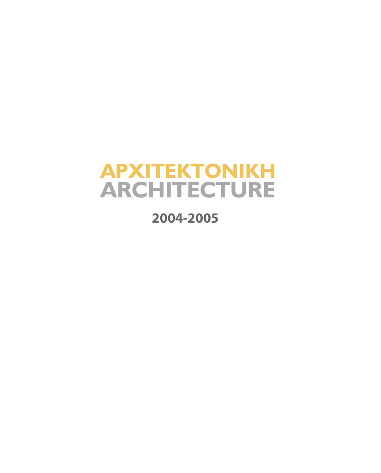# **ARCHITECTURE** *<u>APXITEKTONIKH</u>*

**2004-2005**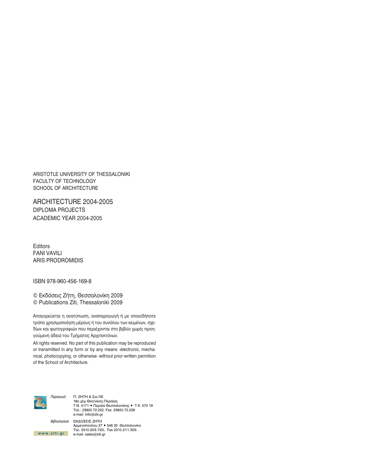ARISTOTLE UNIVERSITY OF THESSALONIKI FACULTY OF TECHNOLOGY SCHOOL OF ARCHITECTURE

ARCHITECTURE 2004-2005 **DIPLOMA PROJECTS** ACADEMIC YEAR 2004-2005

Editors **FANI VAVILI ARIS PRODROMIDIS** 

ISBN 978-960-456-169-8

© Εκδόσεις Ζήτη, Θεσσαλονίκη 2009 © Publications Ziti, Thessaloniki 2009

Απαγορεύεται η ανατύπωση, αναπαραγωγή ή με οποιοδήποτε τρόπο χρησιμοποίηση μέρους ή του συνόλου των κειμένων, σχεδίων και φωτογραφιών που περιέχονται στο βιβλίο χωρίς προηγούμενη άδεια του Τμήματος Αρχιτεκτόνων.

All rights reserved. No part of this publication may be reproduced or transmitted in any form or by any means -electronic, mechanical, photocopying, or otherwise- without prior written permition of the School of Architecture.



Π. ΖΗΤΗ & Σια ΟΕ 18ο χλμ Θεσ/νίκης-Περαίας<br>Τ.Θ. 4171 • Περαία Θεσσαλονίκης • Τ.Κ. 570 19 Τηλ.: 23920.72.222, Fax: 23920.72.229 e-mail: info@ziti.gr

Βιβλιοπωλείο ΕΚΔΟΣΕΙΣ ΖΗΤΗ Αρμενοπούλου 27 • 546 35 Θεσσαλονίκη Tηλ. 2310.203.720, Fax 2310.211.305 www.ziti.gr e-mail:sales@ziti.gr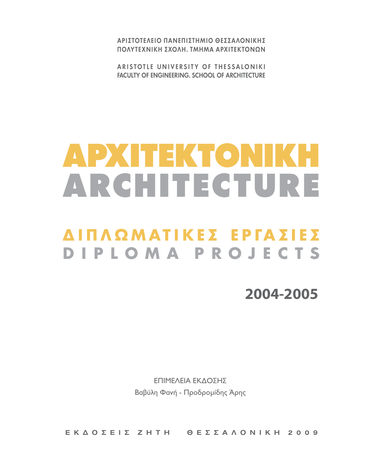ΑΡΙΣΤΟΤΕΛΕΙΟ ΠΑΝΕΠΙΣΤΗΜΙΟ ΘΕΣΣΑΛΟΝΙΚΗΣ ΠΟΛΥΤΕΧΝΙΚΗ ΣΧΟΛΗ, ΤΜΗΜΑ ΑΡΧΙΤΕΚΤΟΝΟΝ

ARISTOTLE UNIVERSITY OF THESSALONIKI **FACULTY OF ENGINEERING, SCHOOL OF ARCHITECTURE** 

# ADXHEKTONIKH ARCHITECTURE

# ΔΙΠΛΩΜΑΤΙΚΕΣ ΕΡΓΑΣΙΕΣ DIPLOMA PROJECTS

2004-2005

ΕΠΙΜΕΛΕΙΑ ΕΚΔΟΣΗΣ Βαβύλη Φανή - Προδρομίδης Άρης

EKAO E E I E ZHTH O E E E A A O N I KH 2009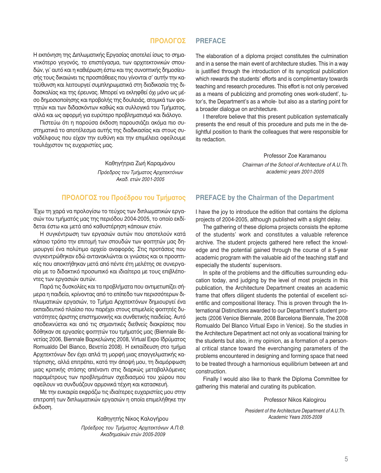#### ΠΡΟΛΟΓΟΣ **PREFACE**

Η εκπόνηση της Διπλωματικής Εργασίας αποτελεί ίσως το σημαντικότερο γεγονός, το επιστέγασμα, των αρχιτεκτονικών σπουδών, γι' αυτό και η καθιέρωση έστω και της συνοπτικής δημοσίευσής τους δικαιώνει τις προσπάθειες που γίνονται σ' αυτήν την κατεύθυνση και λειτουργεί συμπληρωματικά στη διαδικασία της διδασκαλίας και της έρευνας. Μπορεί να εκληφθεί όχι μόνο ως μέσο δημοσιοποίησης και προβολής της δουλειάς, ατομικά των φοιτητών και των διδασκόντων καθώς και συλλογικά του Τμήματος, αλλά και ως αφορμή για ευρύτερο προβληματισμό και διάλογο.

Πιστεύω ότι η παρούσα έκδοση παρουσιάζει ακόμα πιο συστηματικά το αποτέλεσμα αυτής της διαδικασίας και στους συναδέλφους που είχαν την ευθύνη και την επιμέλεια οφείλουμε τουλάχιστον τις ευχαριστίες μας.

> Καθηγήτρια Ζωή Καραμάνου Πρόεδρος του Τμήματος Αρχιτεκτόνων Ακαδ. ετών 2001-2005

### ΠΡΟΛΟΓΟΣ του Προέδρου του Τμήματος

Έχω τη χαρά να προλογίσω το τεύχος των διπλωματικών εργασιών του τμήματός μας της περιόδου 2004-2005, το οποίο εκδίδεται έστω και μετά από καθυστέρηση κάποιων ετών.

Η συγκέντρωση των εργασιών αυτών που αποτελούν κατά κάποιο τρόπο την επιτομή των σπουδών των φοιτητών μας δημιουργεί ένα πολύτιμο αρχείο αναφοράς. Στις προτάσεις που συγκεντρώθηκαν εδώ αντανακλώνται οι γνώσεις και οι προοπτικές που αποκτήθηκαν μετά από πέντε έτη μελέτης σε συνεργασία με το διδακτικό προσωπικό και ιδιαίτερα με τους επιβλέποντες των εργασιών αυτών.

Παρά τις δυσκολίες και τα προβλήματα που αντιμετωπίζει σήμερα η παιδεία, κρίνοντας από το επίπεδο των περισσότερων διπλωματικών εργασιών, το Τμήμα Αρχιτεκτόνων δημιουργεί ένα εκπαιδευτικό πλαίσιο που παρέχει στους επιμελείς φοιτητές δυνατότητες άριστης επιστημονικής και συνθετικής παιδείας. Αυτό αποδεικνύεται και από τις σημαντικές διεθνείς διακρίσεις που δόθηκαν σε εργασίες φοιτητών του τμήματός μας (Biennale Bενετίας 2006, Biennale Βαρκελώνης 2008, Virtual Expo Ιδρύματος Romualdo Del Bianco, Βενετία 2008). Η εκπαίδευση στο τμήμα Αρχιτεκτόνων δεν έχει απλά τη μορφή μιας επαγγελματικής κατάρτισης, αλλά επιτρέπει, κατά την άποψή μου, τη διαμόρφωση μιας κριτικής στάσης απέναντι στις διαρκώς μεταβαλλόμενες παραμέτρους των προβλημάτων σχεδιασμού του χώρου που οφείλουν να συνδυάζουν αρμονικά τέχνη και κατασκευή.

Με την ευκαιρία εκφράζω τις ιδιαίτερες ευχαριστίες μου στην επιτροπή των διπλωματικών εργασιών η οποία επιμελήθηκε την έκδοση.

> Καθηγητής Νίκος Καλογήρου Πρόεδρος του Τμήματος Αρχιτεκτόνων Α.Π.Θ. Ακαδημαϊκών ετών 2005-2009

The elaboration of a diploma project constitutes the culmination and in a sense the main event of architecture studies. This in a way is justified through the introduction of its synoptical publication which rewards the students' efforts and is complimentary towards teaching and research procedures. This effort is not only perceived as a means of publicizing and promoting ones work-student', tutor's, the Department's as a whole- but also as a starting point for a broader dialoque on architecture.

I therefore believe that this present publication systematically presents the end result of this procedure and puts me in the delightful position to thank the colleagues that were responsible for its redaction.

> Professor Zoe Karamanou Chairman of the School of Architecture of A.U.Th. academic years 2001-2005

#### **PREFACE by the Chairman of the Department**

I have the joy to introduce the edition that contains the diploma projects of 2004-2005, although published with a slight delay.

The gathering of these diploma projects consists the epitome of the students' work and constitutes a valuable reference archive. The student projects gathered here reflect the knowledge and the potential gained through the course of a 5-year academic program with the valuable aid of the teaching staff and especially the students' supervisors.

In spite of the problems and the difficulties surrounding education today, and judging by the level of most projects in this publication, the Architecture Department creates an academic frame that offers diligent students the potential of excellent scientific and compositional literacy. This is proven through the International Distinctions awarded to our Department's student projects (2006 Venice Biennale, 2008 Barcelona Biennale, The 2008 Romualdo Del Blanco Virtual Expo in Venice). So the studies in the Architecture Department act not only as vocational training for the students but also, in my opinion, as a formation of a personal critical stance toward the everchanging parameters of the problems encountered in designing and forming space that need to be treated through a harmonious equilibrium between art and construction.

Finally I would also like to thank the Diploma Committee for gathering this material and curating its publication.

Professor Nikos Kalogirou

President of the Architecture Department of A.U.Th. Academic Years 2005-2009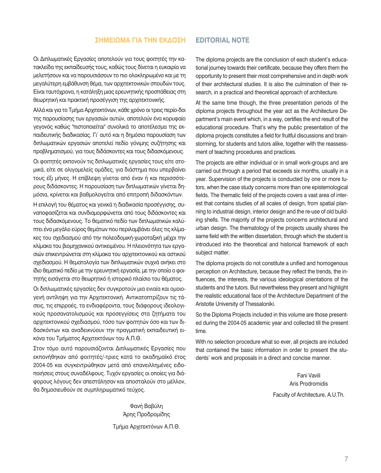#### ΣΗΜΕΙΩΜΑ ΓΙΑ ΤΗΝ ΕΚΔΟΣΗ **EDITORIAL NOTE**

Οι Διπλωματικές Εργασίες αποτελούν για τους φοιτητές την κατακλείδα της εκπαίδευσής τους, καθώς τους δίνεται η ευκαιρία να μελετήσουν και να παρουσιάσουν το πιο ολοκληρωμένο και με τη μεγαλύτερη εμβάθυνση θέμα, των αρχιτεκτονικών σπουδών τους. Είναι ταυτόχρονα, η κατάληξη μιας ερευνητικής προσπάθειας στη θεωρητική και πρακτική προσέγγιση της αρχιτεκτονικής.

Αλλά και για το Τμήμα Αρχιτεκτόνων, κάθε χρόνο οι τρεις περίο-δοι της παρουσίασης των εργασιών αυτών, αποτελούν ένα κορυφαίο γεγονός καθώς "πιστοποιείται" συνολικά το αποτέλεσμα της εκπαιδευτικής διαδικασίας. Γι' αυτό και η δημόσια παρουσίαση των διπλωματικών εργασιών αποτελεί πεδίο γόνιμης συζήτησης και προβληματισμού, για τους διδάσκοντες και τους διδασκόμενους.

Οι φοιτητές εκπονούν τις διπλωματικές εργασίες τους είτε ατομικά, είτε σε ολιγομελείς ομάδες, για διάστημα που υπερβαίνει τους έξι μήνες. Η επίβλεψη γίνεται από έναν ή και περισσότερους διδάσκοντες. Η παρουσίαση των διπλωματικών γίνεται δημόσια, κρίνεται και βαθμολογείται από επιτροπή διδασκόντων.

Η επιλονή του θέματος και νενικά η διαδικασία προσέννισης, συναποφασίζεται και συνδιαμορφώνεται από τους διδάσκοντες και τους διδασκόμενους. Το θεματικό πεδίο των διπλωματικών καλύπτει ένα μεγάλο εύρος θεμάτων που περιλαμβάνει όλες τις κλίμακες του σχεδιασμού από την πολεοδομική-χωροταξική μέχρι την κλίμακα του βιομηχανικού αντικειμένου. Η πλειονότητα των εργασιών επικεντρώνεται στη κλίμακα του αρχιτεκτονικού και αστικού σχεδιασμού. Η θεματολογία των διπλωματικών συχνά ανήκει στο ίδιο θεματικό πεδίο με την ερευνητική εργασία, με την οποία ο φοιτητής εισάγεται στο θεωρητικό ή ιστορικό πλαίσιο του θέματος.

Οι διπλωματικές εργασίες δεν συγκροτούν μια ενιαία και ομοιογενή αντίληψη για την Αρχιτεκτονική. Αντικατοπτρίζουν τις τάσεις, τις επιρροές, τα ενδιαφέροντα, τους διάφορους ιδεολογικούς προσανατολισμούς και προσεγγίσεις στα ζητήματα του αρχιτεκτονικού σχεδιασμού, τόσο των φοιτητών όσο και των διδασκόντων και αναδεικνύουν την πραγματική εκπαιδευτική εικόνα του Τμήματος Αρχιτεκτόνων του Α.Π.Θ.

Στον τόμο αυτό παρουσιάζονται Διπλωματικές Εργασίες που εκπονήθηκαν από φοιτητές/-τριες κατά το ακαδημαϊκό έτος 2004-05 και συγκεντρώθηκαν μετά από επανειλλημένες ειδοποιήσεις στους συναδέλφους. Τυχόν εργασίες οι οποίες για διάφορους λόγους δεν απεστάλησαν και αποσταλούν στο μέλλον, θα δημοσιευθούν σε συμπληρωματικό τεύχος.

> Φανή Βαβύλη Άρης Προδρομίδης

Τμήμα Αρχιτεκτόνων Α.Π.Θ.

The diploma projects are the conclusion of each student's educational journey towards their certificate, because they offers them the opportunity to present their most comprehensive and in depth work of their architectural studies. It is also the culmination of their research, in a practical and theoretical approach of architecture.

At the same time though, the three presentation periods of the diploma projects throughout the year act as the Architecture Department's main event which, in a way, certifies the end result of the educational procedure. That's why the public presentation of the diploma projects constitutes a field for fruitful discussions and brainstorming, for students and tutors alike, together with the reassessment of teaching procedures and practices.

The projects are either individual or in small work-groups and are carried out through a period that exceeds six months, usually in a year. Supervision of the projects is conducted by one or more tutors, when the case study concerns more than one epistemological fields. The thematic field of the projects covers a vast area of interest that contains studies of all scales of design, from spatial planning to industrial design, interior design and the re-use of old building shells. The majority of the projects concerns architectural and urban design. The thematology of the projects usually shares the same field with the written dissertation, through which the student is introduced into the theoretical and historical framework of each subject matter.

The diploma projects do not constitute a unified and homogenous perception on Architecture, because they reflect the trends, the influences, the interests, the various ideological orientations of the students and the tutors. But nevertheless they present and highlight the realistic educational face of the Architecture Department of the Aristotle University of Thessaloniki.

So the Diploma Projects included in this volume are those presented during the 2004-05 academic year and collected till the present time.

With no selection procedure what so ever, all projects are included that contained the basic information in order to present the students' work and proposals in a direct and concise manner.

> Fani Vavili Aris Prodromidis Faculty of Architecture, A.U.Th.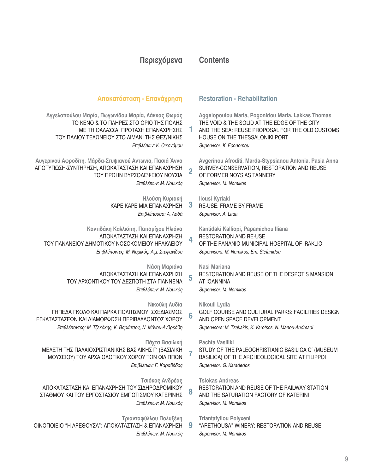# **Περιεχόμενα**

# **Contents**

**1**

**2**

**4**

**5**

**6**

**8**

**9**

# **Αποκατάσταση - Επανάχρηση**

Αγγελοπούλου Μαρία, Πωγωνίδου Μαρία, Λάκκας Θωμάς ΤΟ ΚΈΝΟ & ΤΟ ΠΛΗΡΈΣ ΣΤΟ ΟΡΙΟ ΤΗΣ ΠΟΛΗΣ ΜΕ ΤΗ ΘΑΛΑΣΣΑ: ΠΡΟΤΑΣΗ ΕΠΑΝΑΧΡΗΣΗΣ ΤΟΥ ΠΑΛΙΟΥ ΤΕΛΩΝΕΙΟΥ ΣΤΟ ΛΙΜΑΝΙ ΤΗΣ ΘΕΣ/ΝΙΚΗΣ *Eπιβλέπων: Κ. Οικονόμου* 

Αυγερινού Αφροδίτη, Μάρδα-Στυψιανού Αντωνία, Πασιά Άννα ΑΠΟΤΥΠΩΣΗ-ΣΥΝΤΗΡΗΣΗ, ΑΠΟΚΑΤΑΣΤΑΣΗ ΚΑΙ ΕΠΑΝΑΧΡΗΣΗ ΤΟΥ ΠΡΩΗΝ ΒΥΡΣΟΔΕΨΕΙΟΥ ΝΟΥΣΙΑ *Επιβλέπων: Μ. Νομικός* 

> Ηλούση Κυριακή ΚΑΡΕ ΚΑΡΕ ΜΙΑ ΕΠΑΝΑΧΡΗΣΗ *Επιβλέπουσα: Α. Λαδά*

Καντιδάκη Καλλιόπη, Παπαμίχου Ηλιάνα ΑΠΟΚΑΤΑΣΤΑΣΗ ΚΑΙ ΕΠΑΝΑΧΡΗΣΗ ΤΟΥ ΠΑΝΑΝΕΙΟΥ ΔΗΜΟΤΙΚΟΥ ΝΟΣΟΚΟΜΕΙΟΥ ΗΡΑΚΛΕΙΟΥ *Επιβλέποντες: Μ. Νομικός, Αιμ. Στεφανίδου* 

> **Νάση Μαριάνα** ΑΠΟΚΑΤΑΣΤΑΣΗ ΚΑΙ ΕΠΑΝΑΧΡΗΣΗ ΤΟΥ ΑΡΧΟΝΤΙΚΟΥ ΤΟΥ ΔΕΣΠΟΤΗ ΣΤΑ ΓΙΑΝΝΕΝΑ *Επιβλέπων: Μ. Νομικός*

**Νικούλη Λυδία** ΓΗΠΕΔΑ ΓΚΟΛΦ ΚΑΙ ΠΑΡΚΑ ΠΟΛΙΤΙΣΜΟΥ: ΣΧΕΔΙΑΣΜΟΣ ΕΓΚΑΤΑΣΤΑΣΕΩΝ ΚΑΙ ΔΙΑΜΟΡΦΩΣΗ ΠΕΡΙΒΑΛΛΟΝΤΟΣ ΧΩΡΟΥ *Επιβλέποντες: Μ. Τζεκάκης, Κ. Βαρώτσος, Ν. Μάνου-Ανδρεάδη* 

**Πάχτα Βασιλική** ΜΕΛΕΤΗ ΤΗΣ ΠΑΛΑΙΟΧΡΙΣΤΙΑΝΙΚΗΣ ΒΑΣΙΛΙΚΗΣ Γ' (ΒΑΣΙΛΙΚΗ ΜΟΥΣΕΙΟΥ) ΤΟΥ ΑΡΧΑΙΟΛΟΓΙΚΟΥ ΧΩΡΟΥ ΤΩΝ ΦΙΛΙΠΠΩΝ *Επιβλέπων: Γ. Καραδέδος* 

**Τσιόκας Ανδρέας** ΑΠΟΚΑΤΑΣΤΑΣΗ ΚΑΙ ΕΠΑΝΑΧΡΗΣΗ ΤΟΥ ΣΙΔΗΡΟΔΡΟΜΙΚΟΥ ΣΤΑΘΜΟΥ ΚΑΙ ΤΟΥ ΕΡΓΟΣΤΑΣΙΟΥ ΕΜΠΟΤΙΣΜΟΥ ΚΑΤΕΡΙΝΗΣ *Επιβλέπων: Μ. Νομικός* 

**Τριανταφύλλου Πολυξένη** 

ΟΙΝΟΠΟΙΕΙΟ "Η ΑΡΕΘΟΥΣΑ": ΑΠΟΚΑΤΑΣΤΑΣΗ & ΕΠΑΝΑΧΡΗΣΗ *Επιβλέπων: Μ. Νομικός* 

# **Restoration - Rehabilitation**

**Aggelopoulou Maria, Pogonidou Maria, Lakkas Thomas**  THE VOID & THE SOLID AT THE EDGE OF THE CITY AND THE SEA: REUSE PROPOSAL FOR THE OLD CUSTOMS HOUSE ON THE THESSALONIKI PORT *Supervisor: K. Economou*

**Avgerinou Afroditi, Marda-Stypsianou Antonia, Pasia Anna** SURVEY-CONSERVATION, RESTORATION AND REUSE OF FORMER NOYSIAS TANNERY *Supervisor: M. Nomikos*

**3 Ilousi Kyriaki** RE-USE: FRAME BY FRAME *Supervisor: A. Lada*

> **Kantidaki Kalliopi, Papamichou Iliana**  RESTORATION AND RE-USE OF THE PANANIO MUNICIPAL HOSPITAL OF IRAKLIO *Supervisors: M. Nomikos, Em. Stefanidou*

**Nasi Mariana** 

RESTORATION AND REUSE OF THE DESPOT'S MANSION AT IOANNINA

*Supervisor: M. Nomikos*

**Nikouli Lydia**  GOLF COURSE AND CULTURAL PARKS: FACILITIES DESIGN AND OPEN SPACE DEVELOPMENT *Supervisors: M. Tzekakis, K. Varotsos, N. Manou-Andreadi*

**7 Pachta Vasiliki**  STUDY OF THE PALEOCHRISTIANIC BASILICA C′ (MUSEUM BASILICA) OF THE ARCHEOLOGICAL SITE AT FILIPPOI *Supervisor: G. Karadedos*

**Tsiokas Andreas** 

RESTORATION AND REUSE OF THE RAILWAY STATION AND THE SATURATION FACTORY OF KATERINI *Supervisor: M. Nomikos*

**Triantafyllou Polyxeni** 

"ARETHOUSA" WINERY: RESTORATION AND REUSE *Supervisor: M. Nomikos*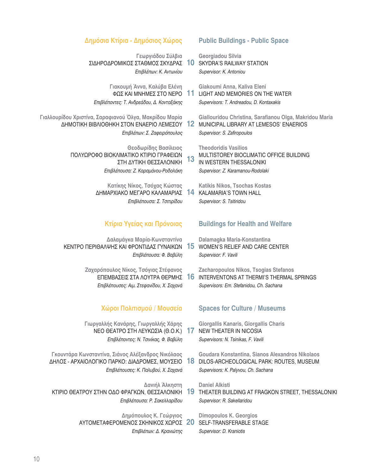#### Δημόσια Κτίρια - Δημόσιος Χώρος

Γεωργιάδου Σύλβια ΣΙΔΗΡΟΔΡΟΜΙΚΟΣ ΣΤΑΘΜΟΣ ΣΚΥΔΡΑΣ 10 Επιβλέπων: Κ. Αντωνίου

Γιακουμή Άννα, Καλύβα Ελένη ΦΩΣ ΚΑΙ ΜΝΗΜΕΣ ΣΤΟ ΝΕΡΟ Επιβλέποντες: Τ. Ανδρεάδου, Δ. Κονταξάκης

Γιαλλουρίδου Χριστίνα, Σαραφιανού Όλγα, Μακρίδου Μαρία ΔΗΜΟΤΙΚΗ ΒΙΒΛΙΟΘΗΚΗ ΣΤΟΝ ΕΝΑΕΡΙΟ ΛΕΜΕΣΟΥ Επιβλέπων: Σ. Ζαφειρόπουλος

> Θεοδωρίδης Βασίλειος ΠΟΛΥΩΡΟΦΟ ΒΙΟΚΛΙΜΑΤΙΚΟ ΚΤΙΡΙΟ ΓΡΑΦΕΙΩΝ ΣΤΗ ΔΥΤΙΚΗ ΘΕΣΣΑΛΟΝΙΚΗ Επιβλέπουσα: Ζ. Καραμάνου-Ροδολάκη

> > Κατίκης Νίκος, Τσόχας Κώστας ΔΗΜΑΡΧΙΑΚΟ ΜΕΓΑΡΟ ΚΑΛΑΜΑΡΙΑΣ Επιβλέπουσα: Σ. Τσιτιρίδου

#### Κτίρια Υγείας και Πρόνοιας

Δαλαμάγκα Μαρία-Κωνσταντίνα ΚΕΝΤΡΟ ΠΕΡΙΘΑΛΨΗΣ ΚΑΙ ΦΡΟΝΤΙΔΑΣ ΓΥΝΑΙΚΩΝ Επιβλέπουσα: Φ. Βαβύλη

> Ζαχαρόπουλος Νίκος, Τσόγιας Στέφανος ΕΠΕΜΒΑΣΕΙΣ ΣΤΑ ΛΟΥΤΡΑ ΘΕΡΜΗΣ Επιβλέπουσες: Αιμ. Στεφανίδου, Χ. Σαχανά

#### Χώροι Πολιτισμού / Μουσεία

Γιωργαλλής Κανάρης, Γιωργαλλής Χάρης ΝΕΟ ΘΕΑΤΡΟ ΣΤΗ ΛΕΥΚΩΣΙΑ (Θ.Ο.Κ.) Επιβλέποντες: Ν. Τσινίκας, Φ. Βαβύλη

Γκουντάρα Κωνσταντίνα, Σιάνος Αλέξανδρος Νικόλαος ΔΗΛΟΣ - ΑΡΧΑΙΟΛΟΓΙΚΟ ΠΑΡΚΟ: ΔΙΑΔΡΟΜΕΣ, ΜΟΥΣΕΙΟ Επιβλέπουσες: Κ. Παλυβού, Χ. Σαχανά

Δανιήλ Άλκηστη ΚΤΙΡΙΟ ΘΕΑΤΡΟΥ ΣΤΗΝ ΟΔΟ ΦΡΑΓΚΩΝ, ΘΕΣΣΑΛΟΝΙΚΗ Επιβλέπουσα: Ρ. Σακελλαρίδου

> Δημόπουλος Κ. Γεώργιος ΑΥΤΟΜΕΤΑΦΕΡΟΜΕΝΟΣ ΣΚΗΝΙΚΟΣ ΧΩΡΟΣ 20 Επιβλέπων: Δ. Κρανιώτης

#### **Public Buildings - Public Space**

Georgiadou Silvia **SKYDRA'S RAILWAY STATION** Supervisor: K. Antoniou

Giakoumi Anna, Kaliva Eleni 11 LIGHT AND MEMORIES ON THE WATER Supervisors: T. Andreadou, D. Kontaxakis

Giallouridou Christina, Sarafianou Olga, Makridou Maria  $12$ MUNICIPAL LIBRARY AT LEMESOS' ENAERIOS Supervisor: S. Zafiropoulos

**Theodoridis Vasilios** MULTISTOREY BIOCLIMATIC OFFICE BUILDING 13 IN WESTERN THESSALONIKI Supervisor: Z. Karamanou-Rodolaki

Katikis Nikos, Tsochas Kostas 14 **KALAMARIA'S TOWN HALL** Supervisor: S. Tsitiridou

#### **Buildings for Health and Welfare**

Dalamagka Maria-Konstantina 15 **WOMEN'S RELIEF AND CARE CENTER** Supervisor: F. Vavili

Zacharopoulos Nikos, Tsogias Stefanos 16 **INTERVENTONS AT THERMI'S THERMAL SPRINGS** Supervisors: Em. Stefanidou, Ch. Sachana

### **Spaces for Culture / Museums**

Giorgallis Kanaris, Giorgallis Charis 17 **NEW THEATER IN NICOSIA** Supervisors: N. Tsinikas, F. Vavili

Goudara Konstantina, Sianos Alexandros Nikolaos 18 DILOS-ARCHEOLOGICAL PARK: ROUTES, MUSEUM Supervisors: K. Palyvou, Ch. Sachana

**Daniel Alkisti** 19 THEATER BUILDING AT FRAGKON STREET, THESSALONIKI Supervisor: R. Sakellaridou

**Dimopoulos K. Georgios SELF-TRANSFERABLE STAGE** Supervisor: D. Kraniotis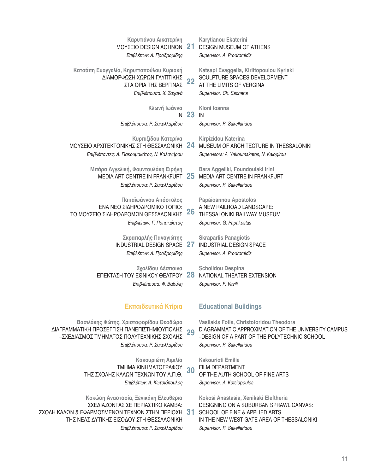| Καρυτιάνου Αικατερίνη<br>ΜΟΥΣΕΙΟ DESIGN ΑΘΗΝΩΝ<br>Επιβλέπων: Α. Προδρομίδης                                                                                                                             | 21        | Karytianou Ekaterini<br><b>DESIGN MUSEUM OF ATHENS</b><br>Supervisor: A. Prodromidis                                                                                                         |
|---------------------------------------------------------------------------------------------------------------------------------------------------------------------------------------------------------|-----------|----------------------------------------------------------------------------------------------------------------------------------------------------------------------------------------------|
| Κατσάπη Ευαγγελία, Κηρυποπούλου Κυριακή<br>ΔΙΑΜΟΡΦΩΣΗ ΧΩΡΩΝ ΓΛΥΠΤΙΚΗΣ<br>ΣΤΑ ΟΡΙΑ ΤΗΣ ΒΕΡΓΙΝΑΣ<br>Επιβλέπουσα: Χ. Σαχανά                                                                                | 22        | Katsapi Evaggelia, Kirittopoulou Kyriaki<br>SCULPTURE SPACES DEVELOPMENT<br>AT THE LIMITS OF VERGINA<br>Supervisor: Ch. Sachana                                                              |
| Κλωνή Ιωάννα<br>IN<br>Επιβλέπουσα: Ρ. Σακελλαρίδου                                                                                                                                                      | <b>23</b> | Kloni Ioanna<br>IN<br>Supervisor: R. Sakellaridou                                                                                                                                            |
| Κυρπιζίδου Κατερίνα<br>ΜΟΥΣΕΙΟ ΑΡΧΙΤΕΚΤΟΝΙΚΗΣ ΣΤΗ ΘΕΣΣΑΛΟΝΙΚΗ<br>Επιβλέποντες: Α. Γιακουμακάτος, Ν. Καλογήρου                                                                                           | 24        | Kirpizidou Katerina<br>MUSEUM OF ARCHITECTURE IN THESSALONIKI<br>Supervisors: A. Yakoumakatos, N. Kalogirou                                                                                  |
| Μπάρα Αγγελική, Φουντουλάκη Ειρήνη<br>MEDIA ART CENTRE IN FRANKFURT<br>Επιβλέπουσα: Ρ. Σακελλαρίδου                                                                                                     | 25        | Bara Aggeliki, Foundoulaki Irini<br>MEDIA ART CENTRE IN FRANKFURT<br>Supervisor: R. Sakellaridou                                                                                             |
| Παπαϊωάννου Απόστολος<br>ΕΝΑ ΝΕΟ ΣΙΔΗΡΟΔΡΟΜΙΚΟ ΤΟΠΙΟ:<br>ΤΟ ΜΟΥΣΕΙΟ ΣΙΔΗΡΟΔΡΟΜΩΝ ΘΕΣΣΑΛΟΝΙΚΗΣ<br>Επιβλέπων: Γ. Παπακώστας                                                                               | 26        | <b>Papaioannou Apostolos</b><br>A NEW RAILROAD LANDSCAPE:<br>THESSALONIKI RAILWAY MUSEUM<br>Supervisor: G. Papakostas                                                                        |
| Σκραπαρλής Παναγιώτης<br>INDUSTRIAL DESIGN SPACE 27<br>Επιβλέπων: Α. Προδρομίδης                                                                                                                        |           | <b>Skraparlis Panagiotis</b><br><b>INDUSTRIAL DESIGN SPACE</b><br>Supervisor: A. Prodromidis                                                                                                 |
| Σχολίδου Δέσποινα<br><b>ΕΠΕΚΤΑΣΗ ΤΟΥ ΕΘΝΙΚΟΥ ΘΕΑΤΡΟΥ 28</b><br>Επιβλέπουσα: Φ. Βαβύλη                                                                                                                   |           | <b>Scholidou Despina</b><br>NATIONAL THEATER EXTENSION<br>Supervisor: F. Vavili                                                                                                              |
| Εκπαιδευτικά Κτίρια                                                                                                                                                                                     |           | <b>Educational Buildings</b>                                                                                                                                                                 |
| Βασιλάκης Φώτης, Χριστοφορίδου Θεοδώρα<br>ΔΙΑΓΡΑΜΜΑΤΙΚΗ ΠΡΟΣΕΓΓΙΣΗ ΠΑΝΕΠΙΣΤΗΜΙΟΥΠΟΛΗΣ<br>-ΣΧΕΔΙΑΣΜΟΣ ΤΜΗΜΑΤΟΣ ΠΟΛΥΤΕΧΝΙΚΗΣ ΣΧΟΛΗΣ<br>Επιβλέπουσα: Ρ. Σακελλαρίδου                                       | 29        | Vasilakis Fotis, Christoforidou Theodora<br>DIAGRAMMATIC APPROXIMATION OF THE UNIVERSITY CAMPUS<br>-DESIGN OF A PART OF THE POLYTECHNIC SCHOOL<br>Supervisor: R. Sakellaridou                |
| Κακουριώτη Αιμιλία<br>ΤΜΗΜΑ ΚΙΝΗΜΑΤΟΓΡΑΦΟΥ<br>ΤΗΣ ΣΧΟΛΗΣ ΚΑΛΩΝ ΤΕΧΝΩΝ ΤΟΥ Α.Π.Θ.<br>Επιβλέπων: Α. Κωτσιόπουλος                                                                                          | 30        | <b>Kakourioti Emilia</b><br><b>FILM DEPARTMENT</b><br>OF THE AUTH SCHOOL OF FINE ARTS<br>Supervisor: A. Kotsiopoulos                                                                         |
| Κοκώση Αναστασία, Ξενικάκη Ελευθερία<br>ΣΧΕΔΙΑΖΟΝΤΑΣ ΣΕ ΠΕΡΙΑΣΤΙΚΟ ΚΑΜΒΑ:<br>ΣΧΟΛΗ ΚΑΛΩΝ & ΕΦΑΡΜΟΣΜΕΝΩΝ ΤΕΧΝΩΝ ΣΤΗΝ ΠΕΡΙΟΧΗ<br>ΤΗΣ ΝΕΑΣ ΔΥΤΙΚΗΣ ΕΙΣΟΔΟΥ ΣΤΗ ΘΕΣΣΑΛΟΝΙΚΗ<br>Επιβλέπουσα: Ρ. Σακελλαρίδου | 31        | Kokosi Anastasia, Xenikaki Eleftheria<br>DESIGNING ON A SUBURBAN SPRAWL CANVAS:<br>SCHOOL OF FINE & APPLIED ARTS<br>IN THE NEW WEST GATE AREA OF THESSALONIKI<br>Supervisor: R. Sakellaridou |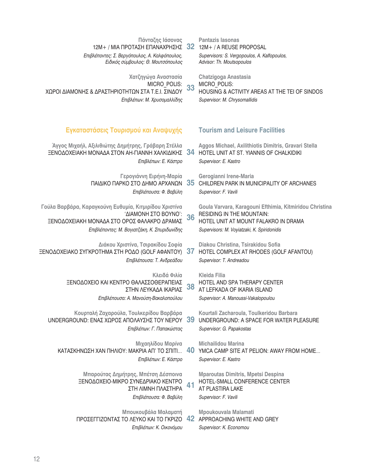| Πάνταζης Ιάσονας<br>$12M + / MIA$ ΠΡΟΤΑΣΗ ΕΠΑΝΑΧΡΗΣΗΣ 32<br>Επιβλέποντες: Σ. Βεργόπουλος, Α. Καλφόπουλος,<br>Ειδικός σύμβουλος: Θ. Μουτσόπουλος                               |    | <b>Pantazis Iasonas</b><br>12M+ / A REUSE PROPOSAL<br>Supervisors: S. Vergopoulos, A. Kalfopoulos,<br>Advisor: Th. Moutsopoulos                                                    |
|-------------------------------------------------------------------------------------------------------------------------------------------------------------------------------|----|------------------------------------------------------------------------------------------------------------------------------------------------------------------------------------|
| Χατζηγώγα Αναστασία<br>MICRO_POLIS:<br>ΧΩΡΟΙ ΔΙΑΜΟΝΗΣ & ΔΡΑΣΤΗΡΙΟΤΗΤΩΝ ΣΤΑ Τ.Ε.Ι. ΣΙΝΔΟΥ<br>Επιβλέπων: Μ. Χρυσομαλλίδης                                                       | 33 | <b>Chatzigoga Anastasia</b><br>MICRO POLIS:<br>HOUSING & ACTIVITY AREAS AT THE TEI OF SINDOS<br>Supervisor: M. Chrysomallidis                                                      |
| Εγκαταστάσεις Τουρισμού και Αναψυχής                                                                                                                                          |    | <b>Tourism and Leisure Facilities</b>                                                                                                                                              |
| Άγγος Μιχαήλ, Αξιλιθιώτης Δημήτρης, Γράβαρη Στέλλα<br>ΞΕΝΟΔΟΧΕΙΑΚΗ ΜΟΝΑΔΑ ΣΤΟΝ ΑΗ-ΓΙΑΝΝΗ ΧΑΛΚΙΔΙΚΗΣ 34<br>Επιβλέπων: Ε. Κάστρο                                                |    | Aggos Michael, Axilithiotis Dimitris, Gravari Stella<br>HOTEL UNIT AT ST. YIANNIS OF CHALKIDIKI<br>Supervisor: E. Kastro                                                           |
| Γερογιάννη Ειρήνη-Μαρία<br>ΠΑΙΔΙΚΟ ΠΑΡΚΟ ΣΤΟ ΔΗΜΟ ΑΡΧΑΝΩΝ<br>Επιβλέπουσα: Φ. Βαβύλη                                                                                           | 35 | Gerogianni Irene-Maria<br>CHILDREN PARK IN MUNICIPALITY OF ARCHANES<br>Supervisor: F. Vavili                                                                                       |
| Γούλα Βαρβάρα, Καραγκούνη Ευθυμία, Κιτμιρίδου Χριστίνα<br>'ΔΙΑΜΟΝΗ ΣΤΟ ΒΟΥΝΟ':<br>ΞΕΝΟΔΟΧΕΙΑΚΗ ΜΟΝΑΔΑ ΣΤΟ ΟΡΟΣ ΦΑΛΑΚΡΟ ΔΡΑΜΑΣ<br>Επιβλέποντες: Μ. Βογιατζάκη, Κ. Σπυριδωνίδης | 36 | Goula Varvara, Karagouni Efthimia, Kitmiridou Christina<br><b>RESIDING IN THE MOUNTAIN:</b><br>HOTEL UNIT AT MOUNT FALAKRO IN DRAMA<br>Supervisors: M. Voyiatzaki, K. Spiridonidis |
| Διάκου Χριστίνα, Τσιρακίδου Σοφία<br>ΞΕΝΟΔΟΧΕΙΑΚΟ ΣΥΓΚΡΟΤΗΜΑ ΣΤΗ ΡΟΔΟ (GOLF ΑΦΑΝΤΟΥ)<br>Επιβλέπουσα: Τ. Ανδρεάδου                                                             | 37 | Diakou Christina, Tsirakidou Sofia<br>HOTEL COMPLEX AT RHODES (GOLF AFANTOU)<br>Supervisor: T. Andreadou                                                                           |
| Κλειδά Φιλία<br>ΞΕΝΟΔΟΧΕΙΟ ΚΑΙ ΚΕΝΤΡΟ ΘΑΛΑΣΣΟΘΕΡΑΠΕΙΑΣ<br>ΣΤΗΝ ΛΕΥΚΑΔΑ ΙΚΑΡΙΑΣ<br>Επιβλέπουσα: Α. Μανούση-Βακαλοπούλου                                                        | 38 | <b>Kleida Filia</b><br>HOTEL AND SPA THERAPY CENTER<br>AT LEFKADA OF IKARIA ISLAND<br>Supervisor: A. Manoussi-Vakalopoulou                                                         |
| Κουρταλή Ζαχαρούλα, Τουλκερίδου Βαρβάρα<br>UNDERGROUND: ΕΝΑΣ ΧΩΡΟΣ ΑΠΟΛΑΥΣΗΣ ΤΟΥ ΝΕΡΟΥ 39<br>Επιβλέπων: Γ. Παπακώστας                                                         |    | Kourtali Zacharoula, Toulkeridou Barbara<br>UNDERGROUND: A SPACE FOR WATER PLEASURE<br>Supervisor: G. Papakostas                                                                   |
| Μιχαηλίδου Μαρίνα<br>ΚΑΤΑΣΚΗΝΩΣΗ ΧΑΝ ΠΗΛΙΟΥ: ΜΑΚΡΙΑ ΑΠ' ΤΟ ΣΠΙΤΙ<br>Επιβλέπων: Ε. Κάστρο                                                                                      | 40 | <b>Michailidou Marina</b><br>YMCA CAMP SITE AT PELION: AWAY FROM HOME<br>Supervisor: E. Kastro                                                                                     |
| Μπαρούτας Δημήτρης, Μπέτση Δέσποινα<br>ΞΕΝΟΔΟΧΕΙΟ-ΜΙΚΡΟ ΣΥΝΕΔΡΙΑΚΟ ΚΕΝΤΡΟ<br>ΣΤΗ ΛΙΜΝΗ ΠΛΑΣΤΗΡΑ<br>Επιβλέπουσα: Φ. Βαβύλη                                                     | 41 | <b>Mparoutas Dimitris, Mpetsi Despina</b><br>HOTEL-SMALL CONFERENCE CENTER<br>AT PLASTIRA LAKE<br>Supervisor: F. Vavili                                                            |
| Μπουκουβάλα Μαλαματή<br>ΠΡΟΣΕΓΓΙΖΟΝΤΑΣ ΤΟ ΛΕΥΚΟ ΚΑΙ ΤΟ ΓΚΡΙΖΟ<br>Επιβλέπων: Κ. Οικονόμου                                                                                      | 42 | <b>Mpoukouvala Malamati</b><br>APPROACHING WHITE AND GREY<br>Supervisor: K. Economou                                                                                               |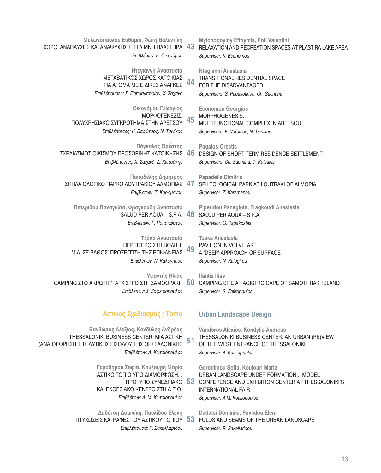| Μυλωνοπούλου Ευθυμία, Φώτη Βαλεντίνη<br>ΧΩΡΟΙ ΑΝΑΠΑΥΣΗΣ ΚΑΙ ΑΝΑΨΥΧΗΣ ΣΤΗ ΛΙΜΝΗ ΠΛΑΣΤΗΡΑ<br>Επιβλέπων: Κ. Οικονόμου                                                | 43 | Mylonopoyloy Efthymia, Foti Valentini<br>RELAXATION AND RECREATION SPACES AT PLASTIRA LAKE AREA<br>Supervisor: K. Economou                                                                   |
|-------------------------------------------------------------------------------------------------------------------------------------------------------------------|----|----------------------------------------------------------------------------------------------------------------------------------------------------------------------------------------------|
| Ντεγιάννη Αναστασία<br>ΜΕΤΑΒΑΤΙΚΟΣ ΧΩΡΟΣ ΚΑΤΟΙΚΙΑΣ<br>ΓΙΑ ΑΤΟΜΑ ΜΕ ΕΙΔΙΚΕΣ ΑΝΑΓΚΕΣ<br>Επιβλέπουσες: Σ. Παπασωτηρίου, Χ. Σαχανά                                    | 44 | Ntegianni Anastasia<br><b>TRANSITIONAL RESIDENTIAL SPACE</b><br>FOR THE DISADVANTAGED<br>Supervisors: S. Papasotiriou, Ch. Sachana                                                           |
| Οικονόμου Γεώργιος<br>ΜΟΡΦΟΓΕΝΕΣΙΣ.<br>ΠΟΛΥΧΡΗΣΙΑΚΟ ΣΥΓΚΡΟΤΗΜΑ ΣΤΗΝ ΑΡΕΤΣΟΥ<br>Επιβλέποντες: Κ. Βαρώτσος, Ν. Τσινίκας                                             | 45 | <b>Economou Georgios</b><br>MORPHOGENESIS.<br>MULTIFUNCTIONAL COMPLEX IN ARETSOU<br>Supervisors: K. Varotsos, N. Tsinikas                                                                    |
| Πάγκαλος Ορέστης<br>ΣΧΕΔΙΑΣΜΟΣ ΟΙΚΙΣΜΟΥ ΠΡΟΣΩΡΙΝΗΣ ΚΑΤΟΙΚΗΣΗΣ<br>Επιβλέποντες: Χ. Σαχανά, Δ. Κωτσάκης                                                             | 46 | <b>Pagalos Orestis</b><br>DESIGN OF SHORT TERM RESIDENCE SETTLEMENT<br>Supervisors: Ch. Sachana, D. Kotsakis                                                                                 |
| Παπαδέλης Δημήτρης<br>ΣΠΗΛΑΙΟΛΟΓΙΚΟ ΠΑΡΚΟ ΛΟΥΤΡΑΚΙΟΥ ΑΛΜΩΠΙΑΣ<br>Επιβλέπων: Ζ. Καραμάνου                                                                          | 47 | <b>Papadelis Dimitris</b><br>SPILEOLOGICAL PARK AT LOUTRAKI OF ALMOPIA<br>Supervisor: Z. Karamanou                                                                                           |
| Πιπερίδου Παναγιώτα, Φραγκούδη Αναστασία<br>SALUD PER AQUA - S.P.A. 48<br>Επιβλέπων: Γ. Παπακώστας                                                                |    | Piperidou Panagiota, Fragkoudi Anastasia<br>SALUD PER AQUA - S.P.A.<br>Supervisor: G. Papakostas                                                                                             |
| Τζάκα Αναστασία<br><b>ΠΕΡΙΠΤΕΡΟ ΣΤΗ ΒΟΛΒΗ.</b><br>ΜΙΑ 'ΣΕ ΒΑΘΟΣ' ΠΡΟΣΕΓΓΙΣΗ ΤΗΣ ΕΠΙΦΑΝΕΙΑΣ<br>Επιβλέπων: Ν. Καλογήρου                                             | 49 | <b>Tzaka Anastasia</b><br>PAVILION IN VOLVI LAKE.<br>A 'DEEP' APPROACH OF SURFACE<br>Supervisor: N. Kalogirou                                                                                |
| Υφαντής Ηλίας<br>CAMPING ΣΤΟ ΑΚΡΩΤΗΡΙ ΑΓΚΙΣΤΡΟ ΣΤΗ ΣΑΜΟΘΡΑΚΗ<br>Επιβλέπων: Σ. Ζαφειρόπουλος                                                                       | 50 | <b>Ifantis Ilias</b><br>CAMPING SITE AT AGISTRO CAPE OF SAMOTHRAKI ISLAND<br>Supervisor: S. Zafiropoulos                                                                                     |
| Αστικός Σχεδιασμός / Τοπίο                                                                                                                                        |    | <b>Urban Landscape Design</b>                                                                                                                                                                |
| Βανδώρος Αλέξιος, Κονδύλης Ανδρέας<br>THESSALONIKI BUSINESS CENTER: MIA AZTIKH<br>(ΑΝΑ)ΘΕΩΡΗΣΗ ΤΗΣ ΔΥΤΙΚΗΣ ΕΙΣΟΔΟΥ ΤΗΣ ΘΕΣΣΑΛΟΝΙΚΗΣ<br>Επιβλέπων: Α. Κωτσιόπουλος | 51 | Vandoros Alexios, Kondylis Andreas<br>THESSALONIKI BUSINESS CENTER: AN URBAN (RE)VIEW<br>OF THE WEST ENTRANCE OF THESSALONIKI<br>Supervisor: A. Kotsiopoulos                                 |
| Γεροδήμου Σοφία, Κουλούρη Μαρία<br>ΑΣΤΙΚΟ ΤΟΠΙΟ ΥΠΟ ΔΙΑΜΟΡΦΩΣΗ<br>ΠΡΟΤΥΠΟ ΣΥΝΕΔΡΙΑΚΟ 52<br>ΚΑΙ ΕΚΘΕΣΙΑΚΟ ΚΕΝΤΡΟ ΣΤΗ Δ.Ε.Θ.<br>Επιβλέπων: Α. Μ. Κωτσιόπουλος       |    | Gerodimou Sofia, Koulouri Maria<br>URBAN LANDSCAPE UNDER FORMATION MODEL<br>CONFERENCE AND EXHIBITION CENTER AT THESSALONIKI'S<br><b>INTERNATIONAL FAIR</b><br>Supervisor: A.M. Kotsiopoulos |
| Δαδάτση Δομινίκη, Παυλίδου Ελένη<br>ΠΤΥΧΩΣΕΙΣ ΚΑΙ ΡΑΦΕΣ ΤΟΥ ΑΣΤΙΚΟΥ ΤΟΠΙΟΥ 53<br>Επιβλέπουσα: Ρ. Σακελλαρίδου                                                     |    | Dadatsi Dominiki, Pavlidou Eleni<br>FOLDS AND SEAMS OF THE URBAN LANDSCAPE<br>Supervisor: R. Sakellaridou                                                                                    |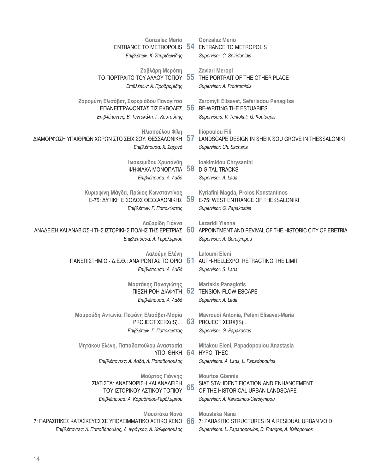| <b>Gonzalez Mario</b><br><b>ENTRANCE TO METROPOLIS</b>                                                                                       | 54 | <b>Gonzalez Mario</b><br><b>ENTRANCE TO METROPOLIS</b>                                                                                         |
|----------------------------------------------------------------------------------------------------------------------------------------------|----|------------------------------------------------------------------------------------------------------------------------------------------------|
| Επιβλέπων: Κ. Σπυριδωνίδης                                                                                                                   |    | Supervisor: C. Spiridonidis                                                                                                                    |
| Ζαβλάρη Μερόπη<br>ΤΟ ΠΟΡΤΡΑΙΤΟ ΤΟΥ ΑΛΛΟΥ ΤΟΠΟΥ                                                                                               | 55 | Zavlari Meropi<br>THE PORTRAIT OF THE OTHER PLACE                                                                                              |
| Επιβλέπων: Α. Προδρομίδης                                                                                                                    |    | Supervisor: A. Prodromidis                                                                                                                     |
| Ζαρομύτη Ελισάβετ, Σεφεριάδου Παναγίτσα<br>ΕΠΑΝΕΓΓΡΑΦΟΝΤΑΣ ΤΙΣ ΕΚΒΟΛΕΣ 56                                                                    |    | Zaromyti Elisavet, Seferiadou Panagitsa<br><b>RE-WRITING THE ESTUARIES</b>                                                                     |
| Επιβλέποντες: Β. Τεντοκάλη, Γ. Κουτούπης                                                                                                     |    | Supervisors: V. Tentokali, G. Koutoupis                                                                                                        |
| Ηλιοπούλου Φίλη<br>ΔΙΑΜΟΡΦΩΣΗ ΥΠΑΙΘΡΙΩΝ ΧΩΡΩΝ ΣΤΟ ΣΕΙΧ ΣΟΥ, ΘΕΣΣΑΛΟΝΙΚΗ<br>Επιβλέπουσα: Χ. Σαχανά                                            | 57 | <b>Iliopoulou Fili</b><br>LANDSCAPE DESIGN IN SHEIK SOU GROVE IN THESSALONIKI<br>Supervisor: Ch. Sachana                                       |
| Ιωακειμίδου Χρυσάνθη<br>ΨΗΦΙΑΚΑ ΜΟΝΟΠΑΤΙΑ                                                                                                    | 58 | Ioakimidou Chrysanthi<br><b>DIGITAL TRACKS</b>                                                                                                 |
| Επιβλέπουσα: Α. Λαδά                                                                                                                         |    | Supervisor: A. Lada                                                                                                                            |
| Κυριαφίνη Μάγδα, Πρώιος Κωνσταντίνος<br>Ε-75: ΔΥΤΙΚΗ ΕΙΣΟΔΟΣ ΘΕΣΣΑΛΟΝΙΚΗΣ<br>Επιβλέπων: Γ. Παπακώστας                                        | 59 | Kyriafini Magda, Proios Konstantinos<br>E-75: WEST ENTRANCE OF THESSALONIKI<br>Supervisor: G. Papakostas                                       |
| Λαζαρίδη Γιάννα<br>ΑΝΑΔΕΙΞΗ ΚΑΙ ΑΝΑΒΙΩΣΗ ΤΗΣ ΙΣΤΟΡΙΚΗΣ ΠΟΛΗΣ ΤΗΣ ΕΡΕΤΡΙΑΣ<br>Επιβλέπουσα: Α. Γερόλυμπου                                      | 60 | Lazaridi Yianna<br>APPOINTMENT AND REVIVAL OF THE HISTORIC CITY OF ERETRIA<br>Supervisor: A. Gerolympou                                        |
| Λαλούμη Ελένη<br>ΠΑΝΕΠΙΣΤΗΜΙΟ - Δ.Ε.Θ.: ΑΝΑΙΡΩΝΤΑΣ ΤΟ ΟΡΙΟ<br>Επιβλέπουσα: Α. Λαδά                                                           | 61 | Laloumi Eleni<br>AUTH-HELLEXPO: RETRACTING THE LIMIT<br>Supervisor: S. Lada                                                                    |
| Μαρτάκης Παναγιώτης<br>ΠΙΕΣΗ-ΡΟΗ-ΔΙΑΦΥΓΗ<br>Επιβλέπουσα: Α. Λαδά                                                                             | 62 | <b>Martakis Panagiotis</b><br>TENSION-FLOW-ESCAPE<br>Supervisor: A. Lada                                                                       |
| Μαυρούδη Αντωνία, Πεφάνη Ελισάβετ-Μαρία<br>PROJECT XERX(IS) 63<br>Επιβλέπων: Γ. Παπακώστας                                                   |    | Mavroudi Antonia, Pefani Elisavet-Maria<br>PROJECT XERX(IS)<br>Supervisor: G. Papakostas                                                       |
|                                                                                                                                              |    |                                                                                                                                                |
| Μητάκου Ελένη, Παπαδοπούλου Αναστασία<br>YNO OHKH 64                                                                                         |    | Mitakou Eleni, Papadopoulou Anastasia<br>HYPO THEC                                                                                             |
| Επιβλέποντες: Α. Λαδά, Λ. Παπαδόπουλος                                                                                                       |    | Supervisors: A. Lada, L. Papadopoulos                                                                                                          |
| Μούρτος Γιάννης<br>ΣΙΑΤΙΣΤΑ: ΑΝΑΓΝΩΡΙΣΗ ΚΑΙ ΑΝΑΔΕΙΞΗ<br>ΤΟΥ ΙΣΤΟΡΙΚΟΥ ΑΣΤΙΚΟΥ ΤΟΠΙΟΥ<br>Επιβλέπουσα: Α. Καραδήμου-Γερόλυμπου                 | 65 | <b>Mourtos Giannis</b><br>SIATISTA: IDENTIFICATION AND ENHANCEMENT<br>OF THE HISTORICAL URBAN LANDSCAPE<br>Supervisor: A. Karadimou-Gerolympou |
| <b>M</b> ουστάκα Navá<br>7: ΠΑΡΑΣΙΤΙΚΕΣ ΚΑΤΑΣΚΕΥΕΣ ΣΕ ΥΠΟΛΕΙΜΜΑΤΙΚΟ ΑΣΤΙΚΟ ΚΕΝΟ<br>Επιβλέποντες: Λ. Παπαδόπουλος, Δ. Φράγκος, Α. Καλφόπουλος | 66 | Moustaka Nana<br>7: PARASITIC STRUCTURES IN A RESIDUAL URBAN VOID<br>Supervisors: L. Papadopoulos, D. Frangos, A. Kalfopoulos                  |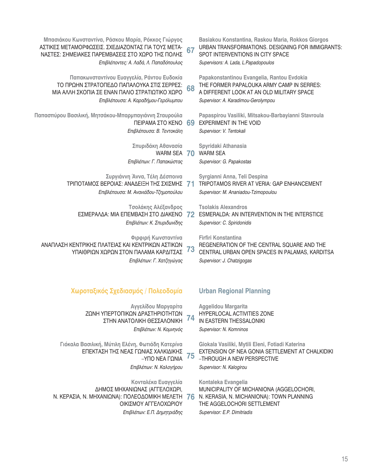| Μπασιάκου Κωνσταντίνα, Ράσκου Μαρία, Ρόκκος Γιώργος<br>ΑΣΤΙΚΕΣ ΜΕΤΑΜΟΡΦΩΣΕΙΣ. ΣΧΕΔΙΑΖΟΝΤΑΣ ΓΙΑ ΤΟΥΣ ΜΕΤΑ-<br>ΝΑΣΤΕΣ: ΣΗΜΕΙΑΚΕΣ ΠΑΡΕΜΒΑΣΕΙΣ ΣΤΟ ΧΩΡΟ ΤΗΣ ΠΟΛΗΣ<br>Επιβλέποντες: Α. Λαδά, Λ. Παπαδόπουλος | 67 | Basiakou Konstantina, Raskou Maria, Rokkos Giorgos<br>URBAN TRANSFORMATIONS. DESIGNING FOR IMMIGRANTS:<br>SPOT INTERVENTIONS IN CITY SPACE<br>Supervisors: A. Lada, L. Papadopoulos |
|---------------------------------------------------------------------------------------------------------------------------------------------------------------------------------------------------------|----|-------------------------------------------------------------------------------------------------------------------------------------------------------------------------------------|
| Παπακωνσταντίνου Ευαγγελία, Ράντου Ευδοκία<br>ΤΟ ΠΡΩΗΝ ΣΤΡΑΤΟΠΕΔΟ ΠΑΠΑΛΟΥΚΑ ΣΤΙΣ ΣΕΡΡΕΣ:<br>ΜΙΑ ΑΛΛΗ ΣΚΟΠΙΑ ΣΕ ΕΝΑΝ ΠΑΛΙΟ ΣΤΡΑΤΙΩΤΙΚΟ ΧΩΡΟ<br>Επιβλέπουσα: Α. Καραδήμου-Γερόλυμπου                      | 68 | Papakonstantinou Evangelia, Rantou Evdokia<br>THE FORMER PAPALOUKA ARMY CAMP IN SERRES:<br>A DIFFERENT LOOK AT AN OLD MILITARY SPACE<br>Supervisor: A. Karadimou-Gerolympou         |
| Παπασπύρου Βασιλική, Μητσάκου-Μπαρμπαγιάννη Σταυρούλα<br>ΠΕΙΡΑΜΑ ΣΤΟ ΚΕΝΟ<br>Επιβλέπουσα: Β. Τεντοκάλη                                                                                                  | 69 | Papaspirou Vasiliki, Mitsakou-Barbayianni Stavroula<br><b>EXPERIMENT IN THE VOID</b><br>Supervisor: V. Tentokali                                                                    |
| Σπυριδάκη Αθανασία<br>WARM SEA 70<br>Επιβλέπων: Γ. Παπακώστας                                                                                                                                           |    | Spyridaki Athanasia<br><b>WARM SEA</b><br>Supervisor: G. Papakostas                                                                                                                 |
| Συργιάννη Άννα, Τέλη Δέσποινα<br>ΤΡΙΠΟΤΑΜΟΣ ΒΕΡΟΙΑΣ: ΑΝΑΔΕΙΞΗ ΤΗΣ ΣΧΙΣΜΗΣ<br>Επιβλέπουσα: Μ. Ανανιάδου-Τζημοπούλου                                                                                      | 71 | Syrgianni Anna, Teli Despina<br>TRIPOTAMOS RIVER AT VERIA: GAP ENHANCEMENT<br>Supervisor: M. Ananiadou-Tzimopoulou                                                                  |
| Τσολάκης Αλέξανδρος<br>ΕΣΜΕΡΑΛΔΑ: ΜΙΑ ΕΠΕΜΒΑΣΗ ΣΤΟ ΔΙΑΚΕΝΟ<br>Επιβλέπων: Κ. Σπυριδωνίδης                                                                                                                | 72 | <b>Tsolakis Alexandros</b><br>ESMERALDA: AN INTERVENTION IN THE INTERSTICE<br>Supervisor: C. Spiridonidis                                                                           |
| Φιρφιρή Κωνσταντίνα<br>ΑΝΑΠΛΑΣΗ ΚΕΝΤΡΙΚΗΣ ΠΛΑΤΕΙΑΣ ΚΑΙ ΚΕΝΤΡΙΚΩΝ ΑΣΤΙΚΩΝ<br>ΥΠΑΙΘΡΙΩΝ ΧΩΡΩΝ ΣΤΟΝ ΠΑΛΑΜΑ ΚΑΡΔΙΤΣΑΣ<br>Επιβλέπων: Γ. Χατζηγώγας                                                           | 73 | <b>Firfiri Konstantina</b><br>REGENERATION OF THE CENTRAL SQUARE AND THE<br>CENTRAL URBAN OPEN SPACES IN PALAMAS, KARDITSA<br>Supervisor: J. Chatzigogas                            |
| Χωροταξικός Σχεδιασμός / Πολεοδομία                                                                                                                                                                     |    | <b>Urban Regional Planning</b>                                                                                                                                                      |
| Αγγελίδου Μαργαρίτα<br>ΖΩΝΗ ΥΠΕΡΤΟΠΙΚΩΝ ΔΡΑΣΤΗΡΙΟΤΗΤΩΝ<br>ΣΤΗΝ ΑΝΑΤΟΛΙΚΗ ΘΕΣΣΑΛΟΝΙΚΗ<br>Επιβλέπων: Ν. Κομνηνός                                                                                          | 74 | <b>Aggelidou Margarita</b><br>HYPERLOCAL ACTIVITIES ZONE<br>IN EASTERN THESSALONIKI<br>Supervisor: N. Komninos                                                                      |
| Γιόκαλα Βασιλική, Μύτιλη Ελένη, Φωτιάδη Κατερίνα<br>ΕΠΕΚΤΑΣΗ ΤΗΣ ΝΕΑΣ ΓΩΝΙΑΣ ΧΑΛΚΙΔΙΚΗΣ<br>$-Y$ ΠΟ ΝΕΑ ΓΩΝΙΑ<br>Επιβλέπων: Ν. Καλογήρου                                                                 | 75 | Giokala Vasiliki, Mytili Eleni, Fotiadi Katerina<br>EXTENSION OF NEA GONIA SETTLEMENT AT CHALKIDIKI<br>-THROUGH A NEW PERSPECTIVE<br>Supervisor: N. Kalogirou                       |
| Κονταλέκα Ευαγγελία<br>ΔΗΜΟΣ ΜΗΧΑΝΙΩΝΑΣ (ΑΓΓΕΛΟΧΩΡΙ,<br>Ν. ΚΕΡΑΣΙΑ, Ν. ΜΗΧΑΝΙΩΝΑ): ΠΟΛΕΟΔΟΜΙΚΗ ΜΕΛΕΤΗ<br>ΟΙΚΙΣΜΟΥ ΑΓΓΕΛΟΧΩΡΙΟΥ<br>Επιβλέπων: Ε.Π. Δημητριάδης                                           | 76 | Kontaleka Evangelia<br>MUNICIPALITY OF MICHANIONA (AGGELOCHORI,<br>N. KERASIA, N. MICHANIONA): TOWN PLANNING<br>THE AGGELOCHORI SETTLEMENT<br>Supervisor: E.P. Dimitriadis          |
|                                                                                                                                                                                                         |    |                                                                                                                                                                                     |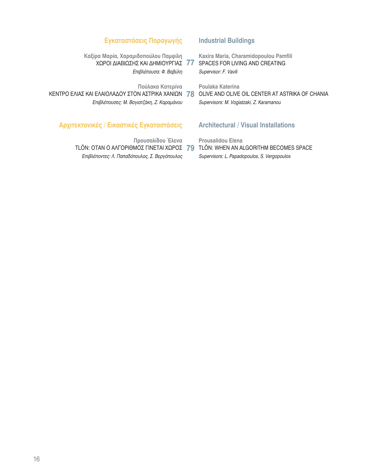## **Εγκαταστάσεις Παραγωγής**

**Καξίρα Μαρία, Χαραμιδοπούλου Παμφίλη** XΩΡΟΙ ΔΙΑΒΙΩΣΗΣ ΚΑΙ ΔΗΜΙΟΥΡΓΙΑΣ 77 *Επιβλέπουσα: Φ. Βαβύλη* 

Πούλακα Κατερίνα

KENTPO ΕΛΙΑΣ ΚΑΙ ΕΛΑΙΟΛΑΔΟΥ ΣΤΟΝ ΑΣΤΡΙΚΑ ΧΑΝΙΩΝΩ **78** ΟLIVE AND OLIVE OIL CENTER AT ASTRIKA OF CHANIA *Επιβλέπουσες: Μ. Βογιατζάκη, Ζ. Καραμάνου* 

## **Αρχιτεκτονικές / Εικαστικές Εγκαταστάσεις**

**Προυσαλίδου Έλενα** *Eπιβλέποντες: Λ. Παπαδόπουλος, Σ. Βεργόπουλος* 

### **Industrial Buildings**

**Kaxira Maria, Charamidopoulou Pamfili** SPACES FOR LIVING AND CREATING *Supervisor: F. Vavili*

**Poulaka Katerina**

*Supervisors: M. Vogiatzaki, Z. Karamanou*

## **Architectural / Visual Installations**

**Prousalidou Elena** TLÖN: ΌΤΑΝ Ο ΑΛΓΟΡΙΘΜΌΣ ΓΙΝΈΤΑΙ ΧΏΡΟΣ **79** TLÖN: WHEN AN ALGORITHM BECOMES SPACE *Supervisors: L. Papadopoulos, S. Vergopoulos*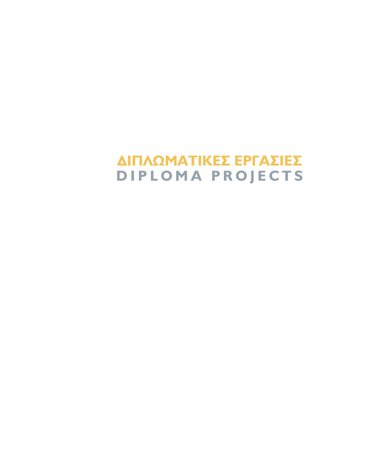# ΔΙΠΛΩΜΑΤΙΚΕΣ ΕΡΓΑΣΙΕΣ DIPLOMA PROJECTS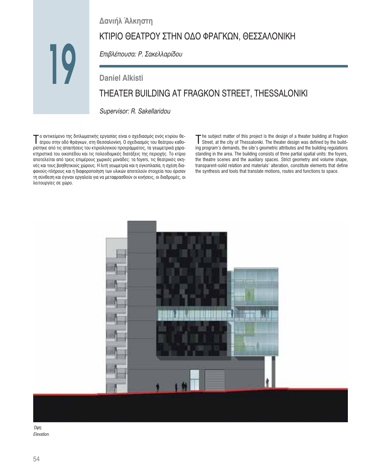Δανιήλ Άλκηστη

# ΚΤΙΡΙΟ ΘΕΑΤΡΟΥ ΣΤΗΝ ΟΔΟ ΦΡΑΓΚΩΝ, ΘΕΣΣΑΛΟΝΙΚΗ

Επιβλέπουσα: Ρ. Σακελλαρίδου

# **Daniel Alkisti** THEATER BUILDING AT FRAGKON STREET, THESSALONIKI

Supervisor: R. Sakellaridou

T ο αντικείμενο της διπλωματικής εργασίας είναι ο σχεδιασμός ενός κτιρίου θε-<br>Τάτρου στην οδό Φράγκων, στη Θεσσαλονίκη. Ο σχεδιασμός του θεάτρου καθορίστηκε από τις απαιτήσεις του κτιριολογικού προγράμματος, τα γεωμετρικά χαρακτηριστικά του οικοπέδου και τις πολεοδομικές διατάξεις της περιοχής. Το κτίριο αποτελείται από τρεις επιμέρους χωρικές μονάδες: τα foyers, τις θεατρικές σκηνές και τους βοηθητικούς χώρους. Η λιτή γεωμετρία και η ογκοπλασία, η σχέση διαφανούς-πλήρους και η διαφοροποίηση των υλικών αποτελούν στοιχεία που όρισαν τη σύνθεση και έγιναν εργαλεία για να μεταφρασθούν οι κινήσεις, οι διαδρομές, οι λειτουργίες σε χώρο.

The subject matter of this project is the design of a theater building at Fragkon<br>Street, at the city of Thessaloniki. The theater design was defined by the building program's demands, the site's geometric attributes and the building regulations standing in the area. The building consists of three partial spatial units: the foyers, the theatre scenes and the auxiliary spaces. Strict geometry and volume shape, transparent-solid relation and materials' alteration, constitute elements that define the synthesis and tools that translate motions, routes and functions to space.



Όψη. Elevation.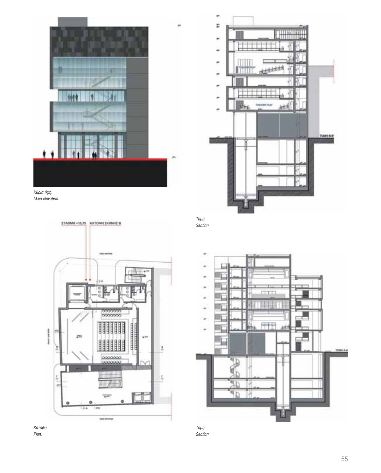

Κύρια όψη. Main elevation.







Τομή.

×

Section.



Τομή. Section.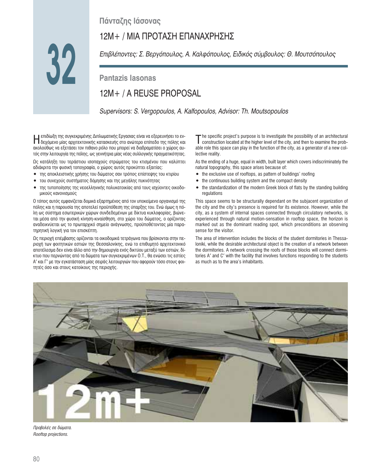# **Πάνταζης Ιάσονας**

# 12M+ / ΜΙΑ ΠΡΟΤΑΣΗ ΕΠΑΝΑΧΡΗΣΗΣ

32 **32**

*Eπιβλέποντες: Σ. Βεργόπουλος, Α. Καλφόπουλος, Ειδικός σύμβουλος: Θ. Μουτσόπουλος* 

# **Pantazis Iasonas**

# 12M+ / A REUSE PROPOSAL

*Supervisors: S. Vergopoulos, A. Kalfopoulos, Advisor: Th. Moutsopoulos*

∐ επιδίωξη της συγκεκριμένης Διπλωματικής Εργασιας είναι να εξερευνήσει το εν-<br>∏ δεχόμενο μίας αρχιτεκτονικής κατασκευής στο ανώτερο επίπεδο της πόλης και ακολούθως να εξετάσει τον πιθανο ρόλο που μπορεί να διαδραματίσει ο χώρος αυτός στην λειτουργία της πόλης, ως γεννήτρια μίας νέας συλλογικής πραγματικότητας.

Ως κατάληξη του τεράστιου ισοπαχούς στρώματος του κτισμένου που καλύπτει αδιάκριτα την φυσική τοπογραφία, ο χώρος αυτός προκύπτει εξαιτίας:

- της αποκλειστικής χρήσης του δώματος σαν τρόπος επίστεψης του κτιρίου
- του συνεχούς συστήματος δόμησης και της μεγάλης πυκνότητας
- της τυποποίησης της νεοελληνικής πολυκατοικίας από τους ισχύοντες οικοδομικούς κανονισμούς

Ο τόπος αυτός εμφανίζεται δομικά εξαρτημένος από τον υποκείμενο οργανισμό της πόλης και η παρουσία της αποτελεί προϋπόθεση της ύπαρξης του. Ενώ όμως η πόλη ως σύστημα εσωτερικών χώρων συνδεδεμένων με δίκτυα κυκλοφορίας, βιώνεται μέσα από την φυσική κίνηση-κιναίσθηση, στο χώρο του δώματος, ο ορίζοντας αναδεικνύεται ως το πρωταρχικό σημείο ανάγνωσης, προϋποθέτοντας μία παρατηρητική λογική για τον επισκέπτη.

Ως περιοχή επέμβασης ορίζονται τα οικοδομικά τετράγωνα που βρίσκονται στην περιοχή των φοιτητικών εστιών της Θεσσαλονίκης, ενώ το επιθυμητό αρχιτεκτονικό αποτέλεσμα δεν είναι άλλο από την δημιουργία ενός δικτύου μεταξύ των εστιών, δίκτυο που περνώντας από τα δώματα των συγκεκριμένων Ο.Τ., θα ενώσει τις εστίες A' και Γ' με την εγκατάσταση μίας σειράς λειτουργιών που αφορούν τόσο στους φοιτητές όσο και στους κατοίκους της περιοχής.

The specific project's purpose is to investigate the possibility of an architectural<br>construction located at the higher level of the city, and then to examine the probable role this space can play in the function of the city, as a generator of a new collective reality.

As the ending of a huge, equal in width, built layer which covers indiscriminately the natural topography, this space arises because of:

- $\bullet$  the exclusive use of rooftops, as pattern of buildings' roofing
- $\bullet$  the continuous building system and the compact density
- the standardization of the modern Greek block of flats by the standing building regulations

This space seems to be structurally dependant on the subjacent organization of the city and the city's presence is required for its existence. However, while the city, as a system of internal spaces connected through circulatory networks, is experienced through natural motion-sensation in rooftop space, the horizon is marked out as the dominant reading spot, which preconditions an observing sense for the visitor.

The area of intervention includes the blocks of the student dormitories in Thessaloniki, while the desirable architectural object is the creation of a network between the dormitories. A network crossing the roofs of those blocks will connect dormitories A′ and C′ with the facility that involves functions responding to the students as much as to the area's inhabitants.



 $\Pi$ ροβολές σε δώματα. *Rooftop projections.*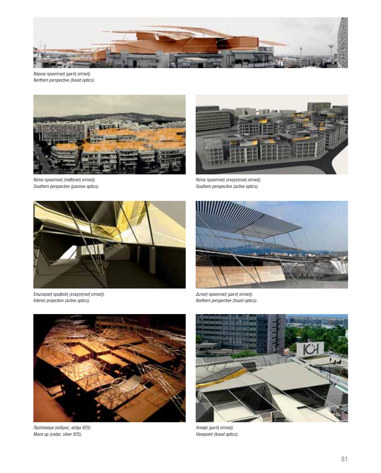

Βόρεια προοπτική (μικτή οπτική). Northern perspective (fused optics).



Νότια προοπτική (παθητική οπτική). Southern perspective (passive optics).



Νότια προοπτική (ενεργητική οπτική). Southern perspective (active optics).



Εσωτερική προβολή (ενεργητική οπτική). Interior projection (active optics).



Δυτική προοπτική (μικτή οπτική). Northern perspective (fused optics).



Πρόπλασμα (κέδρος, ασήμι 925). Mock up (cedar, silver 925).



Άποψη (μικτή οπτική). Viewpoint (fused optics).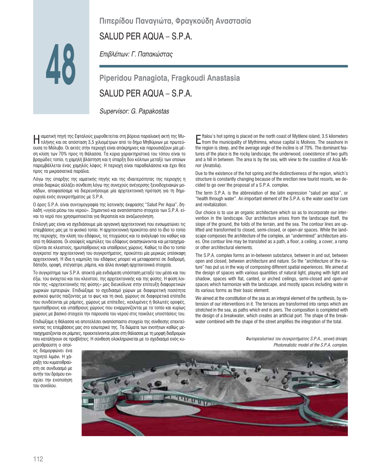# Πιπερίδου Παναγιώτα, Φραγκούδη Αναστασία

# SALUD PER AQUA - S.P.A.

Επιβλέπων: Γ. Παπακώστας

Piperidou Panagiota, Fragkoudi Anastasia SALUD PER AQUA - S.P.A.

Supervisor: G. Papakostas

ιαματική πηγή της Εφταλούς χωροθετείται στη βόρεια παραλιακή ακτή της Mu-|| Ιαματική πηγή της εφταλούς χωρουστείται στη ρορεια του πρωτών.<br>|| τιλήνης και σε απόσταση 3,5 χιλιομέτρων από το δήμο Μηθύμνων με πρωτεύουσα το Μόλυβο. Οι ακτές στην περιοχή είναι απόκρημνες και παρουσιάζουν μία μέση κλίση των 70% προς τη θάλασσα. Τα κύρια χαρακτηριστικά του τόπου είναι το βραχώδες τοπίο, η χαμηλή βλάστηση και η ύπαρξη δύο κόλπων μεταξύ των οποίων παρεμβάλλεται ένας χαμηλός λόφος. Η περιοχή είναι παραθαλάσσια και έχει θέα προς τα μικρασιατικά παράλια.

Λόγω της ύπαρξης της ιαματικής πηγής και της ιδιαιτερότητας της περιοχής η οποία διαρκώς αλλάζει σύνθεση λόγω της συνεχούς ανέγερσης ξενοδοχειακών μονάδων, αποφασίσαμε να διερευνήσουμε μία αρχιτεκτονική πρόταση για τη δημιουργία ενός συγκροτήματος με S.P.A.

Ο όρος S.P.A. είναι συντομογραφία της λατινικής έκφρασης "Salud Per Aqua", δηλαδή «υγεία μέσω του νερού». Σημαντικό και αναπόσπαστο στοιχείο των S.P.A. είναι το νερό που χρησιμοποιείται για θεραπεία και αναζωογόνηση.

Επιλογή μας είναι να σχεδιάσουμε μία οργανική αρχιτεκτονική που ενσωματώνει τις επεμβάσεις μας με το φυσικό τοπίο. Η αρχιτεκτονική προκύπτει από το ίδιο το τοπίο της περιοχής, την κλίση του εδάφους, τις πτυχώσεις και το ανάγλυφό του καθώς και από τη θάλασσα. Οι ισοϋψείς καμπύλες του εδάφους ανασηκώνονται και μετασχηματίζονται σε κλειστούς, ημιυπαίθριους και υπαίθριους χώρους. Καθώς το ίδιο το τοπίο συγκροτεί την αρχιτεκτονική του συγκροτήματος, προκύπτει μία μερικώς υπόσκαφη αρχιτεκτονική. Η ίδια η καμπύλη του εδάφους μπορεί να μεταφραστεί σε διαδρομή, δάπεδο, οροφή, στέγαστρο, ράμπα, και άλλα συναφή αρχιτεκτονικά στοιχεία.

Το συγκρότημα των S.P.A. αποκτά μία ενδιάμεση υπόσταση μεταξύ του μέσα και του έξω, του ανοιχτού και του κλειστού, της αρχιτεκτονικής και της φύσης. Η φύση λοιπόν της «αρχιτεκτονικής της φύσης» μας διευκόλυνε στην επίτευξη διαφορετικών χωρικών εμπειριών. Επιδιώξαμε το σχεδιασμό χώρων με διαφορετική ποσότητα φυσικού φωτός παίζοντας με το φως και τη σκιά, χώρους σε διαφορετικά επίπεδα που συνδέονται με ράμπες, χώρους με επίπεδες, κεκλιμένες ή θολωτές οροφές, ημιυπαίθριους και υπαίθριους χώρους που εναρμονίζονται με το τοπίο και κυρίως χώρους με βασικό στοιχείο την παρουσία του νερού στις ποικίλες υποστάσεις του.

Επιδιώξαμε η θάλασσα να αποτελέσει αναπόσπαστο στοιχείο της σύνθεσης επεκτείνοντας τις επεμβάσεις μας στο εσωτερικό της. Τα δώματα των ενοτήτων καθώς μετασχηματίζονται σε ράμπες, προεκτείνονται μέσα στη θάλασσα με τη μορφή διαδρομών που καταλήγουν σε προβλήτες. Η σύνθεση ολοκληρώνεται με το σχεδιασμό ενός κυE ftalou's hot spring is placed on the north coast of Mytilene island, 3.5 kilometers<br>E from the municipality of Mythimna, whose capital is Molivos. The seashore in the region is steep, and the average angle of the incline is of 70%. The dominant features of the place is the rocky landscape, the underwood, coexistence of two gulfs and a hill in between. The area is by the sea, with view to the coastline of Asia Minor (Anatolia).

Due to the existence of the hot spring and the distinctiveness of the region, which's structure is constantly changing because of the erection new tourist resorts, we decided to go over the proposal of a S.P.A. complex.

The term S.P.A. is the abbreviation of the latin expression "salud per aqua", or "health through water". An important element of the S.P.A. is the water used for cure and revitalization

Our choice is to use an organic architecture which so as to incorporate our intervention in the landscape. Our architecture arises from the landscape itself, the slope of the ground, the folds of the terrain, and the sea. The contour lines are uplifted and transformed to closed, semi-closed, or open-air spaces. While the landscape composes the architecture of the complex, an "undermined" architecture arises. One contour line may be translated as a path, a floor, a ceiling, a cover, a ramp or other architectural elements.

The S.P.A. complex forms an in-between substance, between in and out, between open and closed, between architecture and nature. So the "architecture of the nature" has put us in the way of composing different spatial experiences. We aimed at the design of spaces with various quantities of natural light, playing with light and shadow, spaces with flat, canted, or arched ceilings, semi-closed and open-air spaces which harmonize with the landscape, and mostly spaces including water in its various forms as their basic element.

We aimed at the constitution of the sea as an integral element of the synthesis, by extension of our interventions in it. The terraces are transformed into ramps which are stretched in the sea, as paths which end in piers. The composition is completed with the design of a breakwater, which creates an artificial port. The shape of the breakwater combined with the shape of the street amplifies the integration of the total.

Φωτορεαλιστικό του συγκροτήματος S.P.A., γενική άποψη.

ματοθραύστη ο οποίος διαμορφώνει ένα τεχνητό λιμάνι. Η χάραξη του κυματοθραύστη σε συνδυασμό με αυτήν του δρόμου ενισχύει την ενοποίηση του συνόλου.

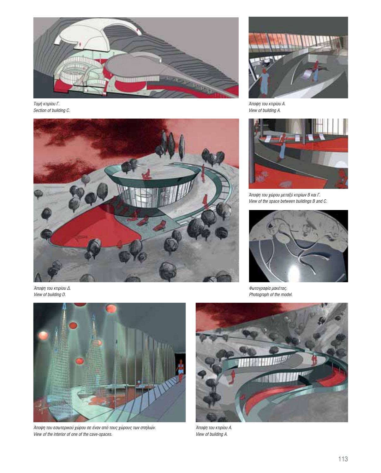

Τομή κτιρίου Γ. Section of building C.



Άποψη του κτιρίου Δ. View of building D.



Άποψη του εσωτερικού χώρου σε έναν από τους χώρους των σπηλιών. View of the interior of one of the cave-spaces.



Άποψη του κτιρίου Α. View of building A.



Άποψη του χώρου μεταξύ κτιρίων Β και Γ. View of the space between buildings B and C.



Φωτογραφία μακέτας. Photograph of the model.



Άποψη του κτιρίου Α. View of building A.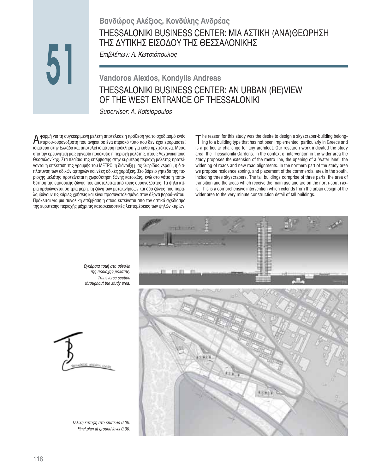# Βανδώρος Αλέξιος, Κονδύλης Ανδρέας THESSALONIKI BUSINESS CENTER: ΜΙΑ ΑΣΤΙΚΗ (ΑΝΑ)ΘΕΩΡΗΣΗ ΤΗΣ ΔΥΤΙΚΗΣ ΕΙΣΟΔΟΥ ΤΗΣ ΘΕΣΣΑΛΟΝΙΚΗΣ

Επιβλέπων: Α. Κωτσιόπουλος

# **Vandoros Alexios, Kondylis Andreas** THESSALONIKI BUSINESS CENTER: AN URBAN (RE)VIEW OF THE WEST ENTRANCE OF THESSALONIKI

Supervisor: A. Kotsiopoulos

φορμή για τη συγκεκριμένη μελέτη αποτέλεσε η πρόθεση για το σχεδιασμό ενός A φορμη για τη συγκεκριμενη μελετη αποτελευε η προσσει του δεν έχει εφαρμοστεί<br>Α κτιρίου-ουρανοξύστη που ανήκει σε ένα κτιριακό τύπο που δεν έχει εφαρμοστεί ιδιαίτερα στην Ελλάδα και αποτελεί ιδιαίτερη πρόκληση για κάθε αρχιτέκτονα. Μέσα από την ερευνητική μας εργασία προέκυψε η περιοχή μελέτης, στους Λαχανόκηπους Θεσσαλονίκης. Στα πλαίσια της επέμβασης στην ευρύτερη περιοχή μελέτης προτείνονται η επέκταση της γραμμής του ΜΕΤΡΟ, η διάνοιξη μιας 'λωρίδας νερού', η διαπλάτυνση των οδικών αρτηριών και νέες οδικές χαράξεις. Στο βόρειο γήπεδο της περιοχής μελέτης προτείνεται η χωροθέτηση ζώνης κατοικίας, ενώ στο νότιο η τοποθέτηση της εμπορικής ζώνης που αποτελείται από τρεις ουρανοξύστες. Τα ψηλά κτίρια αρθρώνονται σε τρία μέρη, τη ζώνη των μετακινήσεων και δύο ζώνες που παραλαμβάνουν τις κύριες χρήσεις και είναι προσανατολισμένα στον άξονα βορρά-νότου. Πρόκειται για μια συνολική επέμβαση η οποία εκτείνεται από τον αστικό σχεδιασμό της ευρύτερης περιοχής μέχρι τις κατασκευαστικές λεπτομέρειες των ψηλών κτιρίων.

> Εγκάρσια τομή στο σύνολο της περιοχής μελέτης. Transverse section throughout the study area.

The reason for this study was the desire to design a skyscraper-building belong-<br> $\int$  ing to a building time that has not been as the ing to a building type that has not been implemented, particularly in Greece and is a particular challenge for any architect. Our research work indicated the study area, the Thessaloniki Gardens. In the context of intervention in the wider area the study proposes the extension of the metro line, the opening of a 'water lane', the widening of roads and new road alignments. In the northern part of the study area we propose residence zoning, and placement of the commercial area in the south, including three skyscrapers. The tall buildings comprise of three parts, the area of transition and the areas which receive the main use and are on the north-south axis. This is a comprehensive intervention which extends from the urban design of the wider area to the very minute construction detail of tall buildings.





Τελική κάτοψη στο επίπεδο 0.00. Final plan at ground level 0.00.

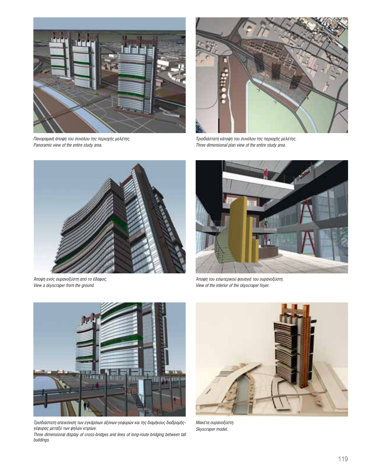

Πανοραμική άποψη του συνόλου της περιοχής μελέτης. Panoramic view of the entire study area.



Τρισδιάστατη κάτοψη του συνόλου της περιοχής μελέτης.<br>Three dimensional plan view of the entire study area.



Άποψη ενός ουρανοξύστη από το έδαφος. View a skyscraper from the ground.



Άποψη του εσωτερικού φουαγιέ του ουρανοξύστη. View of the interior of the skyscraper foyer.



Τρισδιάστατη απεικόνιση των εγκάρσιων αξόνων-γεφυρών και της διαμήκους διαδρομής-<br>γέφυρας μεταξύ των ψηλών κτιρίων.

Three dimensional display of cross-bridges and lines of long-route bridging between tall buildings.



Μακέτα ουρανοξύστη. Skyscraper model.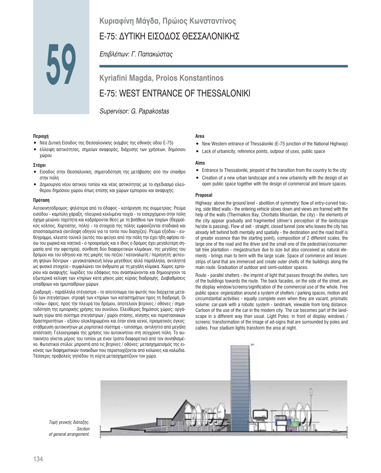# **Κυριαφίνη Μάγδα, Πρώιος Κωνσταντίνος**

# Ε-75: ΔΥΤΙΚΗ ΕΙΣΟΔΟΣ ΘΕΣΣΑΛΟΝΙΚΗΣ

*Eπιβλέπων: Γ. Παπακώστας* 

**Kyriafini Magda, Proios Konstantinos** E-75: WEST ENTRANCE OF THESSALONIKI

*Supervisor: G. Papakostas*

#### **Περιοχή**

**59**

- Νέα Δυτική Είσοδος της Θεσσαλονίκης (κόμβος της εθνικής οδού Ε-75)
- έλλειψη αστικότητας, σημείων αναφοράς, διάχυσης των χρήσεων, δημόσιου χώρου

#### $Στόχοι$

- Είσοδος στην Θεσσαλονίκη, σηματοδότηση της μετάβασης από την ύπαιθρο στην πόλη
- Δημιουργία νέου αστικού τοπίου και νέας αστικότητας με το σχεδιασμό ελεύθερου δημόσιου χώρου όπως επίσης και χώρων εμπορίου και αναψυχής.

#### **N**oóraon

Αυτοκινητόδρομος: ψηλότερα από το έδαφος - κατάργηση της συμμετρίας: Ρεύμα εισόδου - καμπύλη χάραξη, πλευρικά κεκλιμένα τοιχία - το εισερχόμενο στην πόλη όχημα μειώνει ταχύτητα και καδράρονται θέες με τη βοήθεια των τοιχίων (Θερμαϊκός κόλπος, Χορτιάτης, πόλη) - τα στοιχεία της πόλης εμφανίζονται σταδιακά και αποσπασματικά (αντίληψη οδηγού για το τοπίο που διασχίζει). Ρεύμα εξόδου - ευθύγραμμο, κλειστό τούνελ (αυτός που φεύγει από την πόλη την έχει ήδη αφήσει πίσω του χωρικά και νοητικά - ο προορισμός και ο ίδιος ο δρόμος έχει μεγαλύτερη σημασία από την αφετηρία), σύνθεση δύο διαφορετικών κλιμάκων, της μεγάλης του δρόμου και του οδηγού και της μικρής του πεζού / καταναλωτή / περιηγητή: φύτευση ψηλών δέντρων - μεγακατασκευή λόγω μεγέθους αλλά παράλληλα, αντιληπτά ως φυσικό στοιχείο - συμφιλιώνει τον άνθρωπο με τη μεγάλη κλίμακα. Χώρος εμπορίου και αναψυχής: λωρίδες του εδάφους που ανασηκώνονται και δημιουργούν τα εξωτερικά κελύφη των κτηρίων κατά μήκος μίας κύριας διαδρομής. Διαβαθμίσεις υπαίθριων και ημιυπαίθριων χώρων.

Διαδρομή - παράλληλα στέγαστρα - το αποτύπωμα του φωτός που διέρχεται μεταξύ των στεγάστρων, στροφή των κτηρίων των καταστημάτων προς τη διαδρομή. Οι «πίσω» όψεις, προς την πλευρά του δρόμου, αποτελούν βιτρίνες / οθόνες / σηματοδότηση της εμπορικής χρήσης του συνόλου. Ελεύθερος δημόσιος χώρος: οργάνωση γύρω από σύστημα στεγάστρων / χώροι στάσης, κίνησης και περιστασιακών δραστηριοτήτων - εξίσου ολοκληρωμένοι και όταν είναι κενοί, πρισματικός όγκος: στάθμευση αυτοκινήτων με ρομποτικό σύστημα - τοπόσημο, αντιληπτό από μεγάλη απόσταση. Γελοιογραφία της χρήσης του αυτοκινήτου στη σύγχρονη πόλη. Το αυτοκίνητο γίνεται μέρος του τοπίου με έναν τρόπο διαφορετικό από τον συνηθισμέ-VO. Φωτιστικοί στύλοι: μπροστά από τις βιτρίνες / οθόνες: μετασχηματισμός της εικόνας των διαφημιστικών πινακίδων που περιστοιχίζονται από κολώνες και καλώδια. Τέσσερις προβολείς γηπέδου τη νύχτα μετασχηματίζουν τον χώρο.

#### **Area**

- New Western entrance of Thessaloniki (E-75 junction of the National Highway)
- Lack of urbanicity, reference points, outpour of uses, public space

#### **Aims**

- Entrance to Thessaloniki, pinpoint of the transition from the country to the city
- Creation of a new urban landscape and a new urbanicity with the design of an open public space together with the design of commercial and leisure spaces.

#### **Proposal**

Highway: above the ground level - abolition of symmetry: flow of entry-curved tracing, side tilted walls - the entering vehicle slows down and views are framed with the help of the walls (Thermaikos Bay, Chortiatis Mountain, the city) - the elements of the city appear gradually and fragmented (driver's perception of the landscape he/she is passing). Flow of exit - straight, closed tunnel (one who leaves the city has already left behind both mentally and spatially - the destination and the road itself is of greater essence than the starting point), composition of 2 different scales, the large one of the road and the driver and the small one of the pedestrian/consumer: tall tree plantation - megastructure due to size but also conceived as natural elements - brings man to term with the large scale. Space of commerce and leisure: strips of land that are immerced and create outer shells of the buildings along the main route. Graduation of outdoor and semi-outdoor spaces.

Route - parallel shelters - the imprint of light that passes through the shelters, turn of the buildings towards the route. The back facades, on the side of the street, are the display window/screens/signification of the commercial use of the whole. Free public space: organization around a system of shelters / parking spaces, motion and circumstantial activities - equally complete even when they are vacant, prismatic volume: car-park with a robotic system - landmark, viewable from long distance. Cartoon of the use of the car in the modern city. The car becomes part of the landscape in a different way than usual. Light Poles: in front of display windows / screens: transformation of the image of ad-signs that are surrounded by poles and cables. Four stadium lights transform the area at night.



*Τομή γενικής διάταξης. Section of general arrangement.*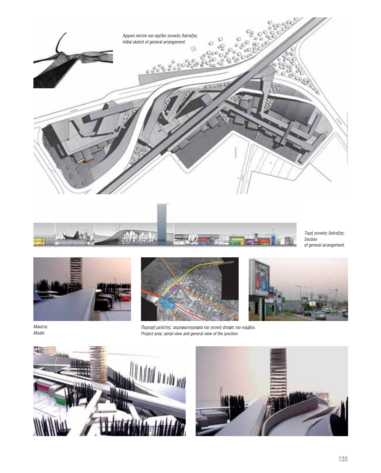



Τομή γενικής διάταξης. Section of general arrangement.



Μακέτα. Model.





Περιοχή μελέτης: αεροφωτογραφία και γενική άποψη του κόμβου. Project area: aerial view and general view of the junction.



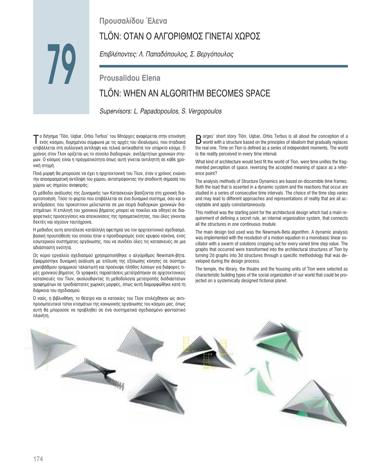# Προυσαλίδου Έλενα

# ΤLÖN: ΟΤΑΝ Ο ΑΛΓΟΡΙΘΜΟΣ ΓΙΝΕΤΑΙ ΧΩΡΟΣ

*Επιβλέποντες: Λ. Παπαδόπουλος, Σ. Βεργόπουλος* 

# **Prousalidou Elena**

# TLÖN: WHEN AN ALGORITHM BECOMES SPACE

*Supervisors: L. Papadopoulos, S. Vergopoulos*

 $\mathcal T$ ο διήγημα 'Tlön, Uqbar, Orbis Tertius' του Μπόρχες αναφέρεται στην επινόηση<br>Ενός κόσμου, δομημένου σύμφωνα με τις αρχές του ιδεαλισμού, που σταδιακά επιβάλλεται στη συλλογική αντίληψη και τελικά αντικαθιστά τον υπαρκτό κόσμο. Ο χρόνος στον Τλον ορίζεται ως το σύνολο διαδοχικών, ανεξάρτητων χρονικών στιγμων. Ο κόσμος είναι η πραγματικότητα όπως αυτή γίνεται αντιληπτή σε κάθε χρονική στιγμή.

Ποιά μορφή θα μπορούσε να έχει η αρχιτεκτονική του Τλον, όταν ο χρόνος ενώνει την αποσμασματική αντίληψη του χώρου, αντιστρέφοντας την αποδεκτή σημασία του χώρου ως σημείου αναφοράς;

Οι μέθοδοι ανάλυσης της Δυναμικής των Κατασκευών βασίζονται στη χρονική δια-Κριτοποίηση. Τόσο το φορτίο που επιβάλλεται σε ένα δυναμικό σύστημα, όσο και οι αντιδράσεις που προκύπτουν μελετώνται σε μια σειρά διαδοχικών χρονικών διαστημάτων. Η επιλογή του χρονικού βήματος μπορεί να ποικίλει και οδηγεί σε δια-ΦΟΡΕΤΙΚές προσεγγίσεις και απεικονίσεις της πραγματικότητας, που όλες γίνονται δεκτές και ισχύουν ταυτόχρονα.

Η μεθοδος αυτη αποτέλεσε κατάλληλη αφετηρία για τον αρχιτεκτονικό σχεδιασμό, βασική προυπόθεση του οποίου ήταν ο προσδιορισμός ενός κρυφού κανόνα, ενός εσωτερικού συστήματος οργάνωσης, που να συνδέει όλες τις κατασκευές σε μια αδιάσπαστη ενότητα.

Ως κύριο εργαλείο σχεδιασμού χρησιμοποιήθηκε ο αλγόριθμος Newmark-βήτα. Εφαρμόστηκε δυναμική ανάλυση με επίλυση της εξίσωσης κίνησης σε σύστημα μονοβάθμιου γραμμικού ταλαντωτή και προέκυψε πλήθος λύσεων για διάφορες τιμές χρονικού βήματος. Οι γραφικές παραστάσεις μετατράπηκαν σε αρχιτεκτονικες κατασκευές του Τλον, ακολουθώντας τη μεθοδολογία μετατροπής δισδιάστατων γραφημάτων σε τρισδιάστατες χωρικές μορφές, όπως αυτή διαμορφώθηκε κατά τη διάρκεια του σχεδιασμού.

Ο ναός, η βιβλιοθήκη, το θέατρο και οι κατοικίες του Τλον επιλέχθηκαν ως αντιπροσωπευτικοί τύποι κτισμάτων της κοινωνικής οργάνωσης του κόσμου μας, όπως αυτή θα μπορούσε να προβληθεί σε ένα συστηματικά σχεδιασμένο φανταστικό πλανήτη.

Borges' short story Tlön, Uqbar, Orbis Tertius is all about the conception of a<br>world with a structure based on the principles of idealism that gradually replaces the real one. Time on Tlon is defined as a series of independent moments. The world is the reality perceived in every time interval.

What kind of architecture would best fit the world of Tlon, were time unifies the fragmented perception of space, reversing the accepted meaning of space as a reference point?

The analysis methods of Structure Dynamics are based on discernible time frames. Both the load that is asserted in a dynamic system and the reactions that occur are studied in a series of consecutive time intervals. The choice of the time step varies and may lead to different approaches and representations of reality that are all acceptable and apply coinstantaneously.

This method was the starting point for the architectural design which had a main requirement of defining a secret rule, an internal organization system, that connects all the structures in one continuous module.

The main design tool used was the Newmark-Beta algorithm. A dynamic analysis was implemented with the resolution of a motion equation in a monobasic linear oscillator with a swarm of solutions cropping out for every varied time step value. The graphs that occurred were transformed into the architectural structures of Tlon by turning 2d graphs into 3d structures through a specific methodology that was developed during the design process.

The temple, the library, the theatre and the housing units of Tlon were selected as characteristic building types of the social organization of our world that could be projected on a systemically designed fictional planet.